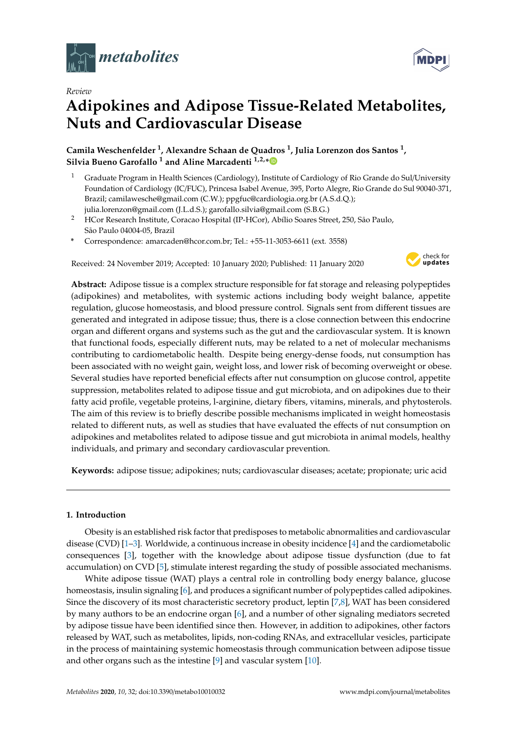

*Review*

# **Adipokines and Adipose Tissue-Related Metabolites, Nuts and Cardiovascular Disease**

**Camila Weschenfelder <sup>1</sup> , Alexandre Schaan de Quadros <sup>1</sup> , Julia Lorenzon dos Santos <sup>1</sup> , Silvia Bueno Garofallo <sup>1</sup> and Aline Marcadenti 1,2,[\\*](https://orcid.org/0000-0003-1994-4610)**

- <sup>1</sup> Graduate Program in Health Sciences (Cardiology), Institute of Cardiology of Rio Grande do Sul/University Foundation of Cardiology (IC/FUC), Princesa Isabel Avenue, 395, Porto Alegre, Rio Grande do Sul 90040-371, Brazil; camilawesche@gmail.com (C.W.); ppgfuc@cardiologia.org.br (A.S.d.Q.); julia.lorenzon@gmail.com (J.L.d.S.); garofallo.silvia@gmail.com (S.B.G.)
- <sup>2</sup> HCor Research Institute, Coracao Hospital (IP-HCor), Abílio Soares Street, 250, São Paulo, São Paulo 04004-05, Brazil
- **\*** Correspondence: amarcaden@hcor.com.br; Tel.: +55-11-3053-6611 (ext. 3558)

Received: 24 November 2019; Accepted: 10 January 2020; Published: 11 January 2020



**Abstract:** Adipose tissue is a complex structure responsible for fat storage and releasing polypeptides (adipokines) and metabolites, with systemic actions including body weight balance, appetite regulation, glucose homeostasis, and blood pressure control. Signals sent from different tissues are generated and integrated in adipose tissue; thus, there is a close connection between this endocrine organ and different organs and systems such as the gut and the cardiovascular system. It is known that functional foods, especially different nuts, may be related to a net of molecular mechanisms contributing to cardiometabolic health. Despite being energy-dense foods, nut consumption has been associated with no weight gain, weight loss, and lower risk of becoming overweight or obese. Several studies have reported beneficial effects after nut consumption on glucose control, appetite suppression, metabolites related to adipose tissue and gut microbiota, and on adipokines due to their fatty acid profile, vegetable proteins, l-arginine, dietary fibers, vitamins, minerals, and phytosterols. The aim of this review is to briefly describe possible mechanisms implicated in weight homeostasis related to different nuts, as well as studies that have evaluated the effects of nut consumption on adipokines and metabolites related to adipose tissue and gut microbiota in animal models, healthy individuals, and primary and secondary cardiovascular prevention.

**Keywords:** adipose tissue; adipokines; nuts; cardiovascular diseases; acetate; propionate; uric acid

# **1. Introduction**

Obesity is an established risk factor that predisposes to metabolic abnormalities and cardiovascular disease (CVD) [\[1](#page-14-0)[–3\]](#page-14-1). Worldwide, a continuous increase in obesity incidence [\[4\]](#page-14-2) and the cardiometabolic consequences [\[3\]](#page-14-1), together with the knowledge about adipose tissue dysfunction (due to fat accumulation) on CVD [\[5\]](#page-14-3), stimulate interest regarding the study of possible associated mechanisms.

White adipose tissue (WAT) plays a central role in controlling body energy balance, glucose homeostasis, insulin signaling [\[6\]](#page-14-4), and produces a significant number of polypeptides called adipokines. Since the discovery of its most characteristic secretory product, leptin [\[7](#page-14-5)[,8\]](#page-14-6), WAT has been considered by many authors to be an endocrine organ [\[6\]](#page-14-4), and a number of other signaling mediators secreted by adipose tissue have been identified since then. However, in addition to adipokines, other factors released by WAT, such as metabolites, lipids, non-coding RNAs, and extracellular vesicles, participate in the process of maintaining systemic homeostasis through communication between adipose tissue and other organs such as the intestine [\[9\]](#page-14-7) and vascular system [\[10\]](#page-14-8).

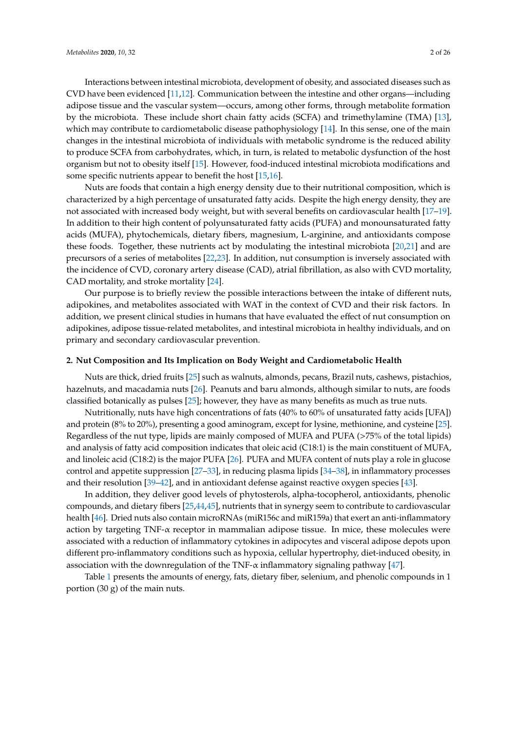Interactions between intestinal microbiota, development of obesity, and associated diseases such as CVD have been evidenced [\[11,](#page-15-0)[12\]](#page-15-1). Communication between the intestine and other organs—including adipose tissue and the vascular system—occurs, among other forms, through metabolite formation by the microbiota. These include short chain fatty acids (SCFA) and trimethylamine (TMA) [\[13\]](#page-15-2), which may contribute to cardiometabolic disease pathophysiology [\[14\]](#page-15-3). In this sense, one of the main changes in the intestinal microbiota of individuals with metabolic syndrome is the reduced ability to produce SCFA from carbohydrates, which, in turn, is related to metabolic dysfunction of the host organism but not to obesity itself [\[15\]](#page-15-4). However, food-induced intestinal microbiota modifications and some specific nutrients appear to benefit the host [\[15,](#page-15-4)[16\]](#page-15-5).

Nuts are foods that contain a high energy density due to their nutritional composition, which is characterized by a high percentage of unsaturated fatty acids. Despite the high energy density, they are not associated with increased body weight, but with several benefits on cardiovascular health [\[17–](#page-15-6)[19\]](#page-15-7). In addition to their high content of polyunsaturated fatty acids (PUFA) and monounsaturated fatty acids (MUFA), phytochemicals, dietary fibers, magnesium, L-arginine, and antioxidants compose these foods. Together, these nutrients act by modulating the intestinal microbiota [\[20](#page-15-8)[,21\]](#page-15-9) and are precursors of a series of metabolites [\[22](#page-15-10)[,23\]](#page-15-11). In addition, nut consumption is inversely associated with the incidence of CVD, coronary artery disease (CAD), atrial fibrillation, as also with CVD mortality, CAD mortality, and stroke mortality [\[24\]](#page-15-12).

Our purpose is to briefly review the possible interactions between the intake of different nuts, adipokines, and metabolites associated with WAT in the context of CVD and their risk factors. In addition, we present clinical studies in humans that have evaluated the effect of nut consumption on adipokines, adipose tissue-related metabolites, and intestinal microbiota in healthy individuals, and on primary and secondary cardiovascular prevention.

## **2. Nut Composition and Its Implication on Body Weight and Cardiometabolic Health**

Nuts are thick, dried fruits [\[25\]](#page-15-13) such as walnuts, almonds, pecans, Brazil nuts, cashews, pistachios, hazelnuts, and macadamia nuts [\[26\]](#page-15-14). Peanuts and baru almonds, although similar to nuts, are foods classified botanically as pulses [\[25\]](#page-15-13); however, they have as many benefits as much as true nuts.

Nutritionally, nuts have high concentrations of fats (40% to 60% of unsaturated fatty acids [UFA]) and protein (8% to 20%), presenting a good aminogram, except for lysine, methionine, and cysteine [\[25\]](#page-15-13). Regardless of the nut type, lipids are mainly composed of MUFA and PUFA (>75% of the total lipids) and analysis of fatty acid composition indicates that oleic acid (C18:1) is the main constituent of MUFA, and linoleic acid (C18:2) is the major PUFA [\[26\]](#page-15-14). PUFA and MUFA content of nuts play a role in glucose control and appetite suppression [\[27–](#page-15-15)[33\]](#page-16-0), in reducing plasma lipids [\[34](#page-16-1)[–38\]](#page-16-2), in inflammatory processes and their resolution [\[39](#page-16-3)[–42\]](#page-16-4), and in antioxidant defense against reactive oxygen species [\[43\]](#page-16-5).

In addition, they deliver good levels of phytosterols, alpha-tocopherol, antioxidants, phenolic compounds, and dietary fibers [\[25,](#page-15-13)[44,](#page-16-6)[45\]](#page-16-7), nutrients that in synergy seem to contribute to cardiovascular health [\[46\]](#page-16-8). Dried nuts also contain microRNAs (miR156c and miR159a) that exert an anti-inflammatory action by targeting  $TNF-\alpha$  receptor in mammalian adipose tissue. In mice, these molecules were associated with a reduction of inflammatory cytokines in adipocytes and visceral adipose depots upon different pro-inflammatory conditions such as hypoxia, cellular hypertrophy, diet-induced obesity, in association with the downregulation of the TNF- $\alpha$  inflammatory signaling pathway [\[47\]](#page-16-9).

Table [1](#page-2-0) presents the amounts of energy, fats, dietary fiber, selenium, and phenolic compounds in 1 portion (30 g) of the main nuts.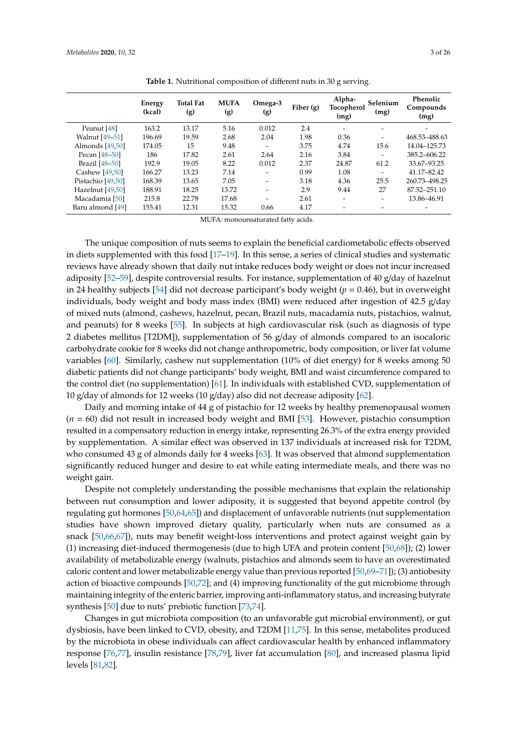<span id="page-2-0"></span>

| Energy<br>(kcal) | <b>Total Fat</b><br>(g) | <b>MUFA</b><br>(g) | Omega-3<br>(g)           | Fiber $(g)$ | Alpha-<br>(mg)           | Selenium<br>(mg)         | Phenolic<br>Compounds<br>(mg) |
|------------------|-------------------------|--------------------|--------------------------|-------------|--------------------------|--------------------------|-------------------------------|
| 163.2            | 13.17                   | 5.16               | 0.012                    | 2.4         | $\overline{\phantom{a}}$ | $\overline{\phantom{0}}$ |                               |
| 196.69           | 19.59                   | 2.68               | 2.04                     | 1.98        | 0.36                     |                          | 468.53-488.63                 |
| 174.05           | 15                      | 9.48               |                          | 3.75        | 4.74                     | 15.6                     | 14.04-125.73                  |
| 186              | 17.82                   | 2.61               | 2.64                     | 2.16        | 3.84                     | $\overline{\phantom{0}}$ | 385.2-606.22                  |
| 192.9            | 19.05                   | 8.22               | 0.012                    | 2.37        | 24.87                    | 61.2                     | 33.67-93.25                   |
| 166.27           | 13.23                   | 7.14               |                          | 0.99        | 1.08                     |                          | 41.17-82.42                   |
| 168.39           | 13.65                   | 7.05               | $\overline{\phantom{a}}$ | 3.18        | 4.36                     | 25.5                     | 260.73-498.25                 |
| 188.91           | 18.25                   | 13.72              | $\overline{\phantom{0}}$ | 2.9         | 9.44                     | 27                       | 87.52-251.10                  |
| 215.8            | 22.78                   | 17.68              |                          | 2.61        | $\overline{\phantom{0}}$ | $\overline{\phantom{0}}$ | 13.86–46.91                   |
| 155.41           | 12.31                   | 15.32              | 0.66                     | 4.17        |                          |                          |                               |
|                  |                         |                    |                          |             |                          |                          | Tocopherol                    |

**Table 1.** Nutritional composition of different nuts in 30 g serving.

MUFA: monounsaturated fatty acids.

The unique composition of nuts seems to explain the beneficial cardiometabolic effects observed in diets supplemented with this food [\[17](#page-15-6)[–19\]](#page-15-7). In this sense, a series of clinical studies and systematic reviews have already shown that daily nut intake reduces body weight or does not incur increased adiposity [\[52](#page-16-14)[–59\]](#page-17-0), despite controversial results. For instance, supplementation of 40 g/day of hazelnut in 24 healthy subjects [\[54\]](#page-17-1) did not decrease participant's body weight ( $p = 0.46$ ), but in overweight individuals, body weight and body mass index (BMI) were reduced after ingestion of 42.5 g/day of mixed nuts (almond, cashews, hazelnut, pecan, Brazil nuts, macadamia nuts, pistachios, walnut, and peanuts) for 8 weeks [\[55\]](#page-17-2). In subjects at high cardiovascular risk (such as diagnosis of type 2 diabetes mellitus [T2DM]), supplementation of 56 g/day of almonds compared to an isocaloric carbohydrate cookie for 8 weeks did not change anthropometric, body composition, or liver fat volume variables [\[60\]](#page-17-3). Similarly, cashew nut supplementation (10% of diet energy) for 8 weeks among 50 diabetic patients did not change participants' body weight, BMI and waist circumference compared to the control diet (no supplementation) [\[61\]](#page-17-4). In individuals with established CVD, supplementation of 10 g/day of almonds for 12 weeks (10 g/day) also did not decrease adiposity [\[62\]](#page-17-5).

Daily and morning intake of 44 g of pistachio for 12 weeks by healthy premenopausal women (*n* = 60) did not result in increased body weight and BMI [\[53\]](#page-17-6). However, pistachio consumption resulted in a compensatory reduction in energy intake, representing 26.3% of the extra energy provided by supplementation. A similar effect was observed in 137 individuals at increased risk for T2DM, who consumed 43 g of almonds daily for 4 weeks [\[63\]](#page-17-7). It was observed that almond supplementation significantly reduced hunger and desire to eat while eating intermediate meals, and there was no weight gain.

Despite not completely understanding the possible mechanisms that explain the relationship between nut consumption and lower adiposity, it is suggested that beyond appetite control (by regulating gut hormones [\[50](#page-16-13)[,64](#page-17-8)[,65\]](#page-17-9)) and displacement of unfavorable nutrients (nut supplementation studies have shown improved dietary quality, particularly when nuts are consumed as a snack [\[50,](#page-16-13)[66](#page-17-10)[,67\]](#page-17-11)), nuts may benefit weight-loss interventions and protect against weight gain by (1) increasing diet-induced thermogenesis (due to high UFA and protein content [\[50](#page-16-13)[,68\]](#page-17-12)); (2) lower availability of metabolizable energy (walnuts, pistachios and almonds seem to have an overestimated caloric content and lower metabolizable energy value than previous reported [\[50](#page-16-13)[,69](#page-17-13)[–71\]](#page-17-14)); (3) antiobesity action of bioactive compounds [\[50,](#page-16-13)[72\]](#page-18-0); and (4) improving functionality of the gut microbiome through maintaining integrity of the enteric barrier, improving anti-inflammatory status, and increasing butyrate synthesis [\[50\]](#page-16-13) due to nuts' prebiotic function [\[73,](#page-18-1)[74\]](#page-18-2).

Changes in gut microbiota composition (to an unfavorable gut microbial environment), or gut dysbiosis, have been linked to CVD, obesity, and T2DM [\[11,](#page-15-0)[75\]](#page-18-3). In this sense, metabolites produced by the microbiota in obese individuals can affect cardiovascular health by enhanced inflammatory response [\[76](#page-18-4)[,77\]](#page-18-5), insulin resistance [\[78,](#page-18-6)[79\]](#page-18-7), liver fat accumulation [\[80\]](#page-18-8), and increased plasma lipid levels [\[81](#page-18-9)[,82\]](#page-18-10).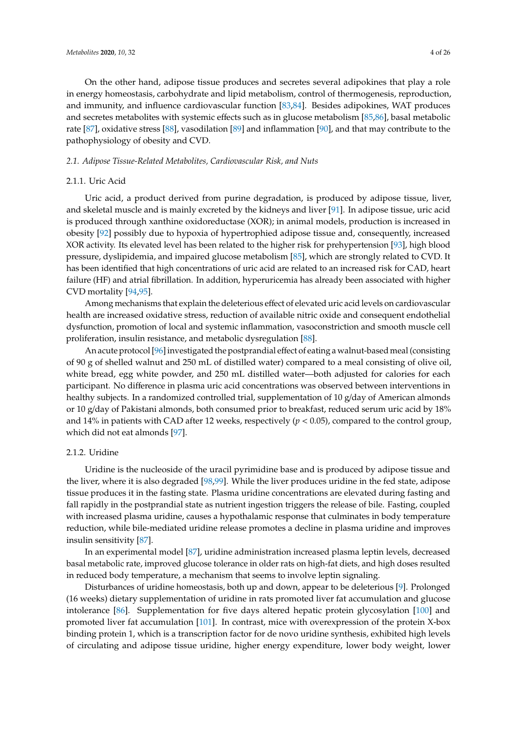On the other hand, adipose tissue produces and secretes several adipokines that play a role in energy homeostasis, carbohydrate and lipid metabolism, control of thermogenesis, reproduction, and immunity, and influence cardiovascular function [\[83](#page-18-11)[,84\]](#page-18-12). Besides adipokines, WAT produces and secretes metabolites with systemic effects such as in glucose metabolism [\[85,](#page-18-13)[86\]](#page-18-14), basal metabolic rate [\[87\]](#page-18-15), oxidative stress [\[88\]](#page-18-16), vasodilation [\[89\]](#page-18-17) and inflammation [\[90\]](#page-18-18), and that may contribute to the pathophysiology of obesity and CVD.

## *2.1. Adipose Tissue-Related Metabolites, Cardiovascular Risk, and Nuts*

## 2.1.1. Uric Acid

Uric acid, a product derived from purine degradation, is produced by adipose tissue, liver, and skeletal muscle and is mainly excreted by the kidneys and liver [\[91\]](#page-18-19). In adipose tissue, uric acid is produced through xanthine oxidoreductase (XOR); in animal models, production is increased in obesity [\[92\]](#page-18-20) possibly due to hypoxia of hypertrophied adipose tissue and, consequently, increased XOR activity. Its elevated level has been related to the higher risk for prehypertension [\[93\]](#page-18-21), high blood pressure, dyslipidemia, and impaired glucose metabolism [\[85\]](#page-18-13), which are strongly related to CVD. It has been identified that high concentrations of uric acid are related to an increased risk for CAD, heart failure (HF) and atrial fibrillation. In addition, hyperuricemia has already been associated with higher CVD mortality [\[94,](#page-18-22)[95\]](#page-19-0).

Among mechanisms that explain the deleterious effect of elevated uric acid levels on cardiovascular health are increased oxidative stress, reduction of available nitric oxide and consequent endothelial dysfunction, promotion of local and systemic inflammation, vasoconstriction and smooth muscle cell proliferation, insulin resistance, and metabolic dysregulation [\[88\]](#page-18-16).

An acute protocol [\[96\]](#page-19-1) investigated the postprandial effect of eating a walnut-based meal (consisting of 90 g of shelled walnut and 250 mL of distilled water) compared to a meal consisting of olive oil, white bread, egg white powder, and 250 mL distilled water—both adjusted for calories for each participant. No difference in plasma uric acid concentrations was observed between interventions in healthy subjects. In a randomized controlled trial, supplementation of 10 g/day of American almonds or 10 g/day of Pakistani almonds, both consumed prior to breakfast, reduced serum uric acid by 18% and 14% in patients with CAD after 12 weeks, respectively  $(p < 0.05)$ , compared to the control group, which did not eat almonds [\[97\]](#page-19-2).

# 2.1.2. Uridine

Uridine is the nucleoside of the uracil pyrimidine base and is produced by adipose tissue and the liver, where it is also degraded [\[98](#page-19-3)[,99\]](#page-19-4). While the liver produces uridine in the fed state, adipose tissue produces it in the fasting state. Plasma uridine concentrations are elevated during fasting and fall rapidly in the postprandial state as nutrient ingestion triggers the release of bile. Fasting, coupled with increased plasma uridine, causes a hypothalamic response that culminates in body temperature reduction, while bile-mediated uridine release promotes a decline in plasma uridine and improves insulin sensitivity [\[87\]](#page-18-15).

In an experimental model [\[87\]](#page-18-15), uridine administration increased plasma leptin levels, decreased basal metabolic rate, improved glucose tolerance in older rats on high-fat diets, and high doses resulted in reduced body temperature, a mechanism that seems to involve leptin signaling.

Disturbances of uridine homeostasis, both up and down, appear to be deleterious [\[9\]](#page-14-7). Prolonged (16 weeks) dietary supplementation of uridine in rats promoted liver fat accumulation and glucose intolerance [\[86\]](#page-18-14). Supplementation for five days altered hepatic protein glycosylation [\[100\]](#page-19-5) and promoted liver fat accumulation [\[101\]](#page-19-6). In contrast, mice with overexpression of the protein X-box binding protein 1, which is a transcription factor for de novo uridine synthesis, exhibited high levels of circulating and adipose tissue uridine, higher energy expenditure, lower body weight, lower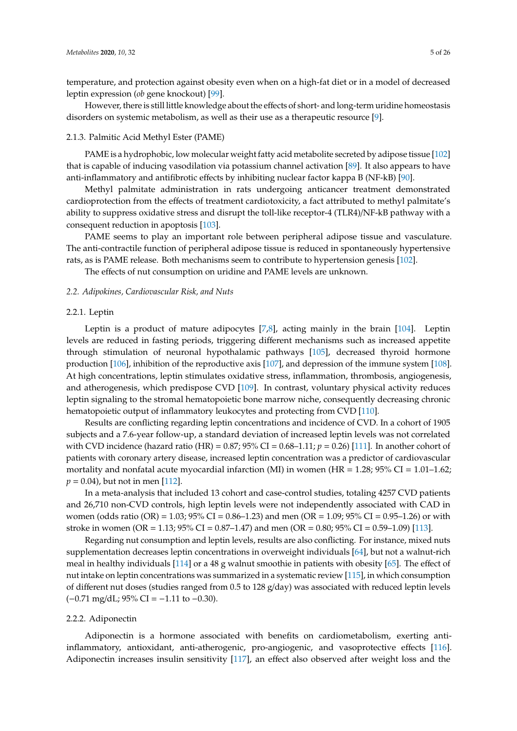temperature, and protection against obesity even when on a high-fat diet or in a model of decreased leptin expression (*ob* gene knockout) [\[99\]](#page-19-4).

However, there is still little knowledge about the effects of short- and long-term uridine homeostasis disorders on systemic metabolism, as well as their use as a therapeutic resource [\[9\]](#page-14-7).

#### 2.1.3. Palmitic Acid Methyl Ester (PAME)

PAME is a hydrophobic, low molecular weight fatty acid metabolite secreted by adipose tissue [\[102\]](#page-19-7) that is capable of inducing vasodilation via potassium channel activation [\[89\]](#page-18-17). It also appears to have anti-inflammatory and antifibrotic effects by inhibiting nuclear factor kappa B (NF-kB) [\[90\]](#page-18-18).

Methyl palmitate administration in rats undergoing anticancer treatment demonstrated cardioprotection from the effects of treatment cardiotoxicity, a fact attributed to methyl palmitate's ability to suppress oxidative stress and disrupt the toll-like receptor-4 (TLR4)/NF-kB pathway with a consequent reduction in apoptosis [\[103\]](#page-19-8).

PAME seems to play an important role between peripheral adipose tissue and vasculature. The anti-contractile function of peripheral adipose tissue is reduced in spontaneously hypertensive rats, as is PAME release. Both mechanisms seem to contribute to hypertension genesis [\[102\]](#page-19-7).

The effects of nut consumption on uridine and PAME levels are unknown.

# *2.2. Adipokines, Cardiovascular Risk, and Nuts*

#### 2.2.1. Leptin

Leptin is a product of mature adipocytes [\[7,](#page-14-5)[8\]](#page-14-6), acting mainly in the brain [\[104\]](#page-19-9). Leptin levels are reduced in fasting periods, triggering different mechanisms such as increased appetite through stimulation of neuronal hypothalamic pathways [\[105\]](#page-19-10), decreased thyroid hormone production [\[106\]](#page-19-11), inhibition of the reproductive axis [\[107\]](#page-19-12), and depression of the immune system [\[108\]](#page-19-13). At high concentrations, leptin stimulates oxidative stress, inflammation, thrombosis, angiogenesis, and atherogenesis, which predispose CVD [\[109\]](#page-19-14). In contrast, voluntary physical activity reduces leptin signaling to the stromal hematopoietic bone marrow niche, consequently decreasing chronic hematopoietic output of inflammatory leukocytes and protecting from CVD [\[110\]](#page-19-15).

Results are conflicting regarding leptin concentrations and incidence of CVD. In a cohort of 1905 subjects and a 7.6-year follow-up, a standard deviation of increased leptin levels was not correlated with CVD incidence (hazard ratio (HR) =  $0.87$ ;  $95\%$  CI =  $0.68-1.11$ ;  $p = 0.26$ ) [\[111\]](#page-19-16). In another cohort of patients with coronary artery disease, increased leptin concentration was a predictor of cardiovascular mortality and nonfatal acute myocardial infarction (MI) in women (HR = 1.28; 95% CI = 1.01–1.62;  $p = 0.04$ , but not in men [\[112\]](#page-19-17).

In a meta-analysis that included 13 cohort and case-control studies, totaling 4257 CVD patients and 26,710 non-CVD controls, high leptin levels were not independently associated with CAD in women (odds ratio (OR) = 1.03; 95% CI = 0.86–1.23) and men (OR = 1.09; 95% CI = 0.95–1.26) or with stroke in women (OR = 1.13;  $95\%$  CI = 0.87–1.47) and men (OR = 0.80;  $95\%$  CI = 0.59–1.09) [\[113\]](#page-19-18).

Regarding nut consumption and leptin levels, results are also conflicting. For instance, mixed nuts supplementation decreases leptin concentrations in overweight individuals [\[64\]](#page-17-8), but not a walnut-rich meal in healthy individuals [\[114\]](#page-19-19) or a 48 g walnut smoothie in patients with obesity [\[65\]](#page-17-9). The effect of nut intake on leptin concentrations was summarized in a systematic review [\[115\]](#page-20-0), in which consumption of different nut doses (studies ranged from 0.5 to 128 g/day) was associated with reduced leptin levels  $(-0.71 \text{ mg/dL}; 95\% \text{ CI} = -1.11 \text{ to } -0.30).$ 

#### 2.2.2. Adiponectin

Adiponectin is a hormone associated with benefits on cardiometabolism, exerting antiinflammatory, antioxidant, anti-atherogenic, pro-angiogenic, and vasoprotective effects [\[116\]](#page-20-1). Adiponectin increases insulin sensitivity [\[117\]](#page-20-2), an effect also observed after weight loss and the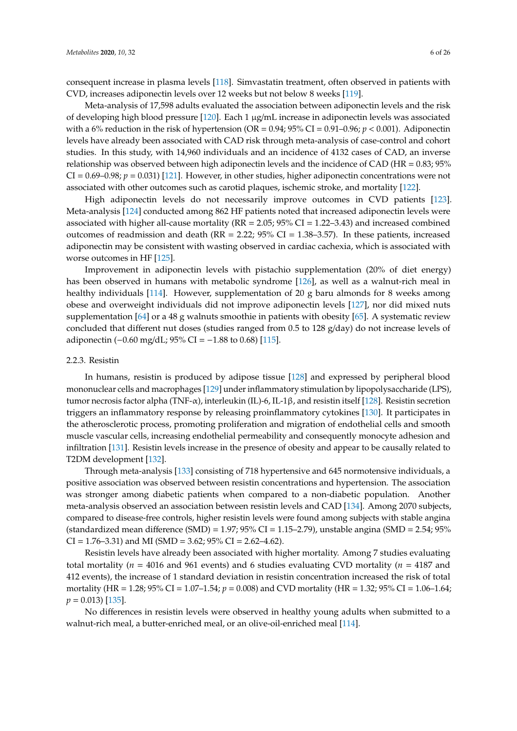consequent increase in plasma levels [\[118\]](#page-20-3). Simvastatin treatment, often observed in patients with CVD, increases adiponectin levels over 12 weeks but not below 8 weeks [\[119\]](#page-20-4).

Meta-analysis of 17,598 adults evaluated the association between adiponectin levels and the risk of developing high blood pressure [\[120\]](#page-20-5). Each 1 µg/mL increase in adiponectin levels was associated with a 6% reduction in the risk of hypertension ( $OR = 0.94$ ;  $95\%$  CI = 0.91–0.96;  $p < 0.001$ ). Adiponectin levels have already been associated with CAD risk through meta-analysis of case-control and cohort studies. In this study, with 14,960 individuals and an incidence of 4132 cases of CAD, an inverse relationship was observed between high adiponectin levels and the incidence of CAD (HR = 0.83; 95% CI = 0.69–0.98; *p* = 0.031) [\[121\]](#page-20-6). However, in other studies, higher adiponectin concentrations were not associated with other outcomes such as carotid plaques, ischemic stroke, and mortality [\[122\]](#page-20-7).

High adiponectin levels do not necessarily improve outcomes in CVD patients [\[123\]](#page-20-8). Meta-analysis [\[124\]](#page-20-9) conducted among 862 HF patients noted that increased adiponectin levels were associated with higher all-cause mortality ( $RR = 2.05$ ;  $95\%$  CI = 1.22–3.43) and increased combined outcomes of readmission and death ( $RR = 2.22$ ;  $95\%$  CI = 1.38–3.57). In these patients, increased adiponectin may be consistent with wasting observed in cardiac cachexia, which is associated with worse outcomes in HF [\[125\]](#page-20-10).

Improvement in adiponectin levels with pistachio supplementation (20% of diet energy) has been observed in humans with metabolic syndrome [\[126\]](#page-20-11), as well as a walnut-rich meal in healthy individuals [\[114\]](#page-19-19). However, supplementation of 20 g baru almonds for 8 weeks among obese and overweight individuals did not improve adiponectin levels [\[127\]](#page-20-12), nor did mixed nuts supplementation [\[64\]](#page-17-8) or a 48 g walnuts smoothie in patients with obesity [\[65\]](#page-17-9). A systematic review concluded that different nut doses (studies ranged from 0.5 to 128 g/day) do not increase levels of adiponectin (−0.60 mg/dL; 95% CI =  $-1.88$  to 0.68) [\[115\]](#page-20-0).

## 2.2.3. Resistin

In humans, resistin is produced by adipose tissue [\[128\]](#page-20-13) and expressed by peripheral blood mononuclear cells and macrophages [\[129\]](#page-20-14) under inflammatory stimulation by lipopolysaccharide (LPS), tumor necrosis factor alpha (TNF-α), interleukin (IL)-6, IL-1β, and resistin itself [\[128\]](#page-20-13). Resistin secretion triggers an inflammatory response by releasing proinflammatory cytokines [\[130\]](#page-20-15). It participates in the atherosclerotic process, promoting proliferation and migration of endothelial cells and smooth muscle vascular cells, increasing endothelial permeability and consequently monocyte adhesion and infiltration [\[131\]](#page-20-16). Resistin levels increase in the presence of obesity and appear to be causally related to T2DM development [\[132\]](#page-20-17).

Through meta-analysis [\[133\]](#page-20-18) consisting of 718 hypertensive and 645 normotensive individuals, a positive association was observed between resistin concentrations and hypertension. The association was stronger among diabetic patients when compared to a non-diabetic population. Another meta-analysis observed an association between resistin levels and CAD [\[134\]](#page-20-19). Among 2070 subjects, compared to disease-free controls, higher resistin levels were found among subjects with stable angina (standardized mean difference (SMD) =  $1.97$ ;  $95\%$  CI =  $1.15-2.79$ ), unstable angina (SMD =  $2.54$ ;  $95\%$ CI = 1.76–3.31) and MI (SMD = 3.62; 95% CI = 2.62–4.62).

Resistin levels have already been associated with higher mortality. Among 7 studies evaluating total mortality ( $n = 4016$  and 961 events) and 6 studies evaluating CVD mortality ( $n = 4187$  and 412 events), the increase of 1 standard deviation in resistin concentration increased the risk of total mortality (HR = 1.28; 95% CI = 1.07–1.54; *p* = 0.008) and CVD mortality (HR = 1.32; 95% CI = 1.06–1.64;  $p = 0.013$  [\[135\]](#page-20-20).

No differences in resistin levels were observed in healthy young adults when submitted to a walnut-rich meal, a butter-enriched meal, or an olive-oil-enriched meal [\[114\]](#page-19-19).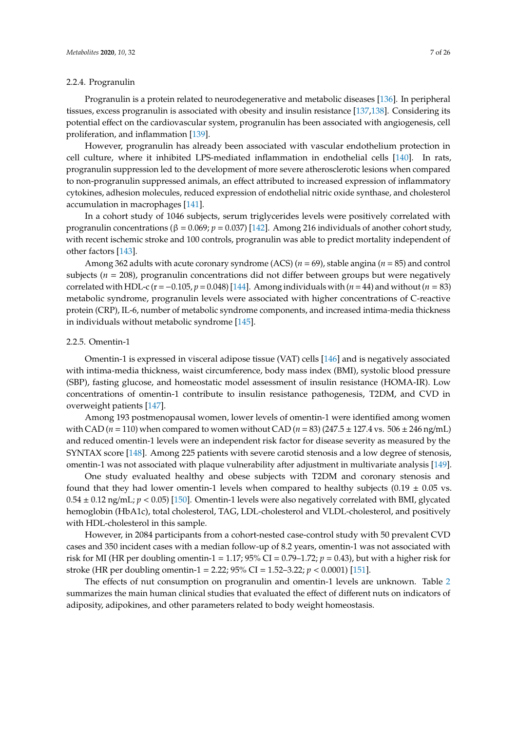## 2.2.4. Progranulin

Progranulin is a protein related to neurodegenerative and metabolic diseases [\[136\]](#page-20-21). In peripheral tissues, excess progranulin is associated with obesity and insulin resistance [\[137,](#page-21-0)[138\]](#page-21-1). Considering its potential effect on the cardiovascular system, progranulin has been associated with angiogenesis, cell proliferation, and inflammation [\[139\]](#page-21-2).

However, progranulin has already been associated with vascular endothelium protection in cell culture, where it inhibited LPS-mediated inflammation in endothelial cells [\[140\]](#page-21-3). In rats, progranulin suppression led to the development of more severe atherosclerotic lesions when compared to non-progranulin suppressed animals, an effect attributed to increased expression of inflammatory cytokines, adhesion molecules, reduced expression of endothelial nitric oxide synthase, and cholesterol accumulation in macrophages [\[141\]](#page-21-4).

In a cohort study of 1046 subjects, serum triglycerides levels were positively correlated with progranulin concentrations (β = 0.069; *p* = 0.037) [\[142\]](#page-21-5). Among 216 individuals of another cohort study, with recent ischemic stroke and 100 controls, progranulin was able to predict mortality independent of other factors [\[143\]](#page-21-6).

Among 362 adults with acute coronary syndrome (ACS) (*n* = 69), stable angina (*n* = 85) and control subjects (*n* = 208), progranulin concentrations did not differ between groups but were negatively correlated with HDL-c (r=−0.105, *p*=0.048) [\[144\]](#page-21-7). Among individuals with (*n*=44) and without (*n* = 83) metabolic syndrome, progranulin levels were associated with higher concentrations of C-reactive protein (CRP), IL-6, number of metabolic syndrome components, and increased intima*-*media thickness in individuals without metabolic syndrome [\[145\]](#page-21-8).

## 2.2.5. Omentin-1

Omentin-1 is expressed in visceral adipose tissue (VAT) cells [\[146\]](#page-21-9) and is negatively associated with intima-media thickness, waist circumference, body mass index (BMI), systolic blood pressure (SBP), fasting glucose, and homeostatic model assessment of insulin resistance (HOMA-IR). Low concentrations of omentin-1 contribute to insulin resistance pathogenesis, T2DM, and CVD in overweight patients [\[147\]](#page-21-10).

Among 193 postmenopausal women, lower levels of omentin-1 were identified among women with CAD ( $n = 110$ ) when compared to women without CAD ( $n = 83$ ) (247.5  $\pm$  127.4 vs. 506  $\pm$  246 ng/mL) and reduced omentin-1 levels were an independent risk factor for disease severity as measured by the SYNTAX score [\[148\]](#page-21-11). Among 225 patients with severe carotid stenosis and a low degree of stenosis, omentin-1 was not associated with plaque vulnerability after adjustment in multivariate analysis [\[149\]](#page-21-12).

One study evaluated healthy and obese subjects with T2DM and coronary stenosis and found that they had lower omentin-1 levels when compared to healthy subjects  $(0.19 \pm 0.05 \text{ vs.})$  $0.54 \pm 0.12$  ng/mL;  $p < 0.05$ ) [\[150\]](#page-21-13). Omentin-1 levels were also negatively correlated with BMI, glycated hemoglobin (HbA1c), total cholesterol, TAG, LDL-cholesterol and VLDL-cholesterol, and positively with HDL-cholesterol in this sample.

However, in 2084 participants from a cohort-nested case-control study with 50 prevalent CVD cases and 350 incident cases with a median follow-up of 8.2 years, omentin-1 was not associated with risk for MI (HR per doubling omentin-1 = 1.17; 95% CI = 0.79–1.72; *p* = 0.43), but with a higher risk for stroke (HR per doubling omentin-1 = 2.22; 95% CI = 1.52–3.22; *p* < 0.0001) [\[151\]](#page-21-14).

The effects of nut consumption on progranulin and omentin-1 levels are unknown. Table [2](#page-8-0) summarizes the main human clinical studies that evaluated the effect of different nuts on indicators of adiposity, adipokines, and other parameters related to body weight homeostasis.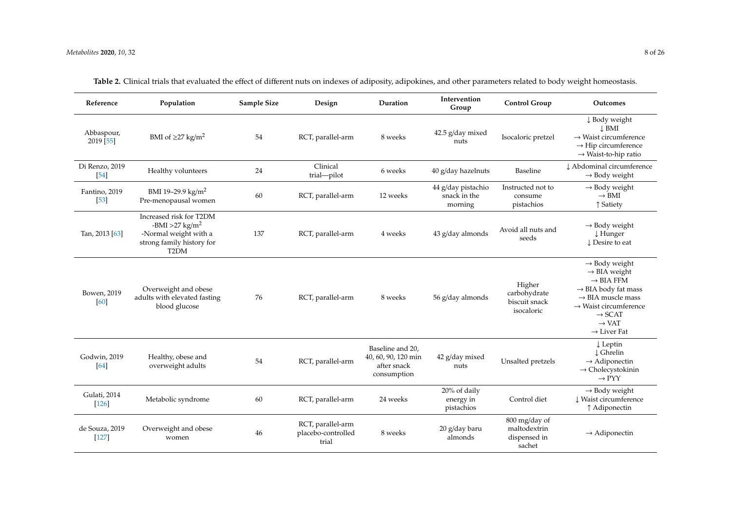| Reference                 | Population                                                                                                                        | Sample Size | Design                                           | Duration                                                              | Intervention<br>Group                         | <b>Control Group</b>                                    | Outcomes                                                                                                                                                                                                                                                      |
|---------------------------|-----------------------------------------------------------------------------------------------------------------------------------|-------------|--------------------------------------------------|-----------------------------------------------------------------------|-----------------------------------------------|---------------------------------------------------------|---------------------------------------------------------------------------------------------------------------------------------------------------------------------------------------------------------------------------------------------------------------|
| Abbaspour,<br>2019 [55]   | BMI of $\geq$ 27 kg/m <sup>2</sup>                                                                                                | 54          | RCT, parallel-arm                                | 8 weeks                                                               | 42.5 g/day mixed<br>nuts                      | Isocaloric pretzel                                      | ↓ Body weight<br>$\perp$ BMI<br>$\rightarrow$ Waist circumference<br>$\rightarrow$ Hip circumference<br>$\rightarrow$ Waist-to-hip ratio                                                                                                                      |
| Di Renzo, 2019<br>[54]    | Healthy volunteers                                                                                                                | 24          | Clinical<br>trial-pilot                          | 6 weeks                                                               | 40 g/day hazelnuts                            | Baseline                                                | L Abdominal circumference<br>$\rightarrow$ Body weight                                                                                                                                                                                                        |
| Fantino, 2019<br>$[53]$   | BMI 19-29.9 kg/m <sup>2</sup><br>Pre-menopausal women                                                                             | 60          | RCT, parallel-arm                                | 12 weeks                                                              | 44 g/day pistachio<br>snack in the<br>morning | Instructed not to<br>consume<br>pistachios              | $\rightarrow$ Body weight<br>$\rightarrow$ BMI<br>↑ Satiety                                                                                                                                                                                                   |
| Tan, 2013 [63]            | Increased risk for T2DM<br>-BMI > 27 kg/m <sup>2</sup><br>-Normal weight with a<br>strong family history for<br>T <sub>2</sub> DM | 137         | RCT, parallel-arm                                | 4 weeks                                                               | 43 g/day almonds                              | Avoid all nuts and<br>seeds                             | $\rightarrow$ Body weight<br>$\downarrow$ Hunger<br>↓ Desire to eat                                                                                                                                                                                           |
| Bowen, 2019<br>[60]       | Overweight and obese<br>adults with elevated fasting<br>blood glucose                                                             | 76          | RCT, parallel-arm                                | 8 weeks                                                               | 56 g/day almonds                              | Higher<br>carbohydrate<br>biscuit snack<br>isocaloric   | $\rightarrow$ Body weight<br>$\rightarrow$ BIA weight<br>$\rightarrow$ BIA FFM<br>$\rightarrow$ BIA body fat mass<br>$\rightarrow$ BIA muscle mass<br>$\rightarrow$ Waist circumference<br>$\rightarrow$ SCAT<br>$\rightarrow$ VAT<br>$\rightarrow$ Liver Fat |
| Godwin, 2019<br>[64]      | Healthy, obese and<br>overweight adults                                                                                           | 54          | RCT, parallel-arm                                | Baseline and 20,<br>40, 60, 90, 120 min<br>after snack<br>consumption | 42 g/day mixed<br>nuts                        | Unsalted pretzels                                       | $\downarrow$ Leptin<br>↓ Ghrelin<br>$\rightarrow$ Adiponectin<br>$\rightarrow$ Cholecystokinin<br>$\rightarrow$ PYY                                                                                                                                           |
| Gulati, 2014<br>$[126]$   | Metabolic syndrome                                                                                                                | 60          | RCT, parallel-arm                                | 24 weeks                                                              | 20% of daily<br>energy in<br>pistachios       | Control diet                                            | $\rightarrow$ Body weight<br>U Waist circumference<br>↑ Adiponectin                                                                                                                                                                                           |
| de Souza, 2019<br>$[127]$ | Overweight and obese<br>women                                                                                                     | 46          | RCT, parallel-arm<br>placebo-controlled<br>trial | 8 weeks                                                               | 20 g/day baru<br>almonds                      | 800 mg/day of<br>maltodextrin<br>dispensed in<br>sachet | $\rightarrow$ Adiponectin                                                                                                                                                                                                                                     |

**Table 2.** Clinical trials that evaluated the effect of different nuts on indexes of adiposity, adipokines, and other parameters related to body weight homeostasis.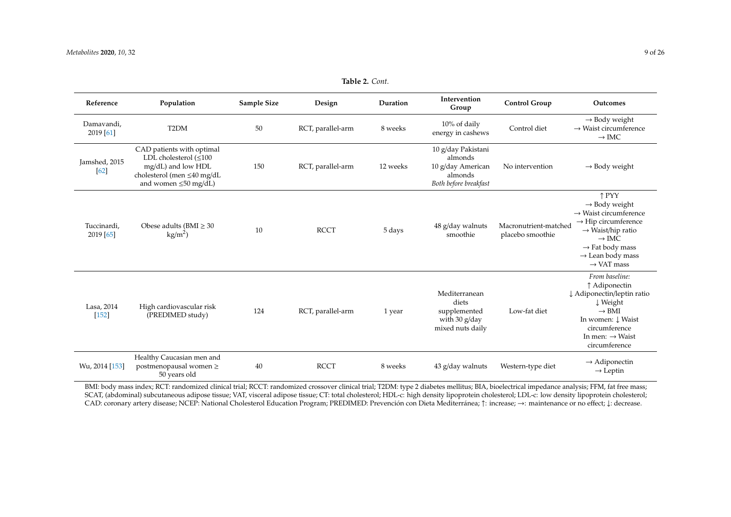| Reference                | Population                                                                                                                                 | <b>Sample Size</b> | Design            | Duration | Intervention<br>Group                                                                  | <b>Control Group</b>                      | Outcomes                                                                                                                                                                                                                                                  |
|--------------------------|--------------------------------------------------------------------------------------------------------------------------------------------|--------------------|-------------------|----------|----------------------------------------------------------------------------------------|-------------------------------------------|-----------------------------------------------------------------------------------------------------------------------------------------------------------------------------------------------------------------------------------------------------------|
| Damavandi,<br>2019 [61]  | T <sub>2</sub> DM                                                                                                                          | 50                 | RCT, parallel-arm | 8 weeks  | 10% of daily<br>energy in cashews                                                      | Control diet                              | $\rightarrow$ Body weight<br>$\rightarrow$ Waist circumference<br>$\rightarrow$ IMC                                                                                                                                                                       |
| Jamshed, 2015<br>[62]    | CAD patients with optimal<br>LDL cholesterol $(\leq 100$<br>mg/dL) and low HDL<br>cholesterol (men ≤40 mg/dL<br>and women $\leq 50$ mg/dL) | 150                | RCT, parallel-arm | 12 weeks | 10 g/day Pakistani<br>almonds<br>10 g/day American<br>almonds<br>Both before breakfast | No intervention                           | $\rightarrow$ Body weight                                                                                                                                                                                                                                 |
| Tuccinardi,<br>2019 [65] | Obese adults (BMI $\geq$ 30<br>$\text{kg/m}^2$ )                                                                                           | 10                 | <b>RCCT</b>       | 5 days   | 48 g/day walnuts<br>smoothie                                                           | Macronutrient-matched<br>placebo smoothie | ↑ PYY<br>$\rightarrow$ Body weight<br>$\rightarrow$ Waist circumference<br>$\rightarrow$ Hip circumference<br>$\rightarrow$ Waist/hip ratio<br>$\rightarrow$ IMC<br>$\rightarrow$ Fat body mass<br>$\rightarrow$ Lean body mass<br>$\rightarrow$ VAT mass |
| Lasa, 2014<br>$[152]$    | High cardiovascular risk<br>(PREDIMED study)                                                                                               | 124                | RCT, parallel-arm | 1 year   | Mediterranean<br>diets<br>supplemented<br>with 30 g/day<br>mixed nuts daily            | Low-fat diet                              | From baseline:<br>↑ Adiponectin<br>↓ Adiponectin/leptin ratio<br>↓ Weight<br>$\rightarrow$ BMI<br>In women: Į Waist<br>circumference<br>In men: $\rightarrow$ Waist<br>circumference                                                                      |
| Wu, 2014 [153]           | Healthy Caucasian men and<br>postmenopausal women ≥<br>50 years old                                                                        | 40                 | <b>RCCT</b>       | 8 weeks  | 43 g/day walnuts                                                                       | Western-type diet                         | $\rightarrow$ Adiponectin<br>$\rightarrow$ Leptin                                                                                                                                                                                                         |

**Table 2.** *Cont.*

<span id="page-8-0"></span>BMI: body mass index; RCT: randomized clinical trial; RCCT: randomized crossover clinical trial; T2DM: type 2 diabetes mellitus; BIA, bioelectrical impedance analysis; FFM, fat free mass; SCAT, (abdominal) subcutaneous adipose tissue; VAT, visceral adipose tissue; CT: total cholesterol; HDL-c: high density lipoprotein cholesterol; LDL-c: low density lipoprotein cholesterol; CAD: coronary artery disease; NCEP: National Cholesterol Education Program; PREDIMED: Prevención con Dieta Mediterránea; ↑: increase; →: maintenance or no effect; ↓: decrease.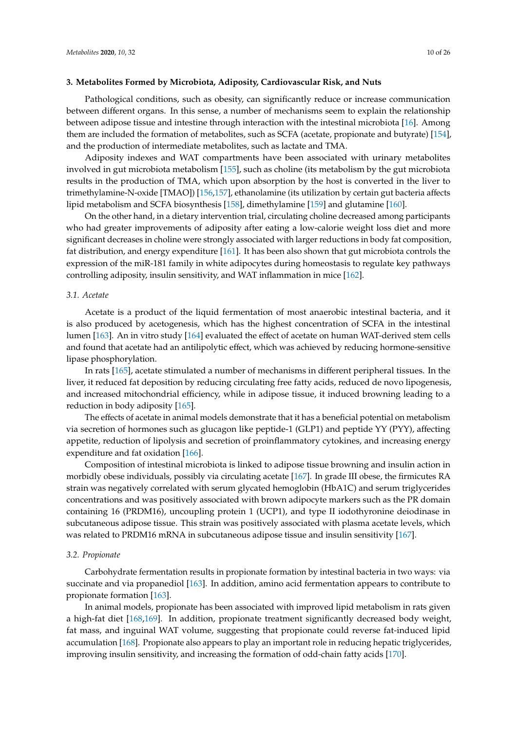## **3. Metabolites Formed by Microbiota, Adiposity, Cardiovascular Risk, and Nuts**

Pathological conditions, such as obesity, can significantly reduce or increase communication between different organs. In this sense, a number of mechanisms seem to explain the relationship between adipose tissue and intestine through interaction with the intestinal microbiota [\[16\]](#page-15-5). Among them are included the formation of metabolites, such as SCFA (acetate, propionate and butyrate) [\[154\]](#page-21-17), and the production of intermediate metabolites, such as lactate and TMA.

Adiposity indexes and WAT compartments have been associated with urinary metabolites involved in gut microbiota metabolism [\[155\]](#page-22-0), such as choline (its metabolism by the gut microbiota results in the production of TMA, which upon absorption by the host is converted in the liver to trimethylamine-N-oxide [TMAO]) [\[156](#page-22-1)[,157\]](#page-22-2), ethanolamine (its utilization by certain gut bacteria affects lipid metabolism and SCFA biosynthesis [\[158\]](#page-22-3), dimethylamine [\[159\]](#page-22-4) and glutamine [\[160\]](#page-22-5).

On the other hand, in a dietary intervention trial, circulating choline decreased among participants who had greater improvements of adiposity after eating a low-calorie weight loss diet and more significant decreases in choline were strongly associated with larger reductions in body fat composition, fat distribution, and energy expenditure [\[161\]](#page-22-6). It has been also shown that gut microbiota controls the expression of the miR-181 family in white adipocytes during homeostasis to regulate key pathways controlling adiposity, insulin sensitivity, and WAT inflammation in mice [\[162\]](#page-22-7).

## *3.1. Acetate*

Acetate is a product of the liquid fermentation of most anaerobic intestinal bacteria, and it is also produced by acetogenesis, which has the highest concentration of SCFA in the intestinal lumen [\[163\]](#page-22-8). An in vitro study [\[164\]](#page-22-9) evaluated the effect of acetate on human WAT-derived stem cells and found that acetate had an antilipolytic effect, which was achieved by reducing hormone-sensitive lipase phosphorylation.

In rats [\[165\]](#page-22-10), acetate stimulated a number of mechanisms in different peripheral tissues. In the liver, it reduced fat deposition by reducing circulating free fatty acids, reduced de novo lipogenesis, and increased mitochondrial efficiency, while in adipose tissue, it induced browning leading to a reduction in body adiposity [\[165\]](#page-22-10).

The effects of acetate in animal models demonstrate that it has a beneficial potential on metabolism via secretion of hormones such as glucagon like peptide-1 (GLP1) and peptide YY (PYY), affecting appetite, reduction of lipolysis and secretion of proinflammatory cytokines, and increasing energy expenditure and fat oxidation [\[166\]](#page-22-11).

Composition of intestinal microbiota is linked to adipose tissue browning and insulin action in morbidly obese individuals, possibly via circulating acetate [\[167\]](#page-22-12). In grade III obese, the firmicutes RA strain was negatively correlated with serum glycated hemoglobin (HbA1C) and serum triglycerides concentrations and was positively associated with brown adipocyte markers such as the PR domain containing 16 (PRDM16), uncoupling protein 1 (UCP1), and type II iodothyronine deiodinase in subcutaneous adipose tissue. This strain was positively associated with plasma acetate levels, which was related to PRDM16 mRNA in subcutaneous adipose tissue and insulin sensitivity [\[167\]](#page-22-12).

#### *3.2. Propionate*

Carbohydrate fermentation results in propionate formation by intestinal bacteria in two ways: via succinate and via propanediol [\[163\]](#page-22-8). In addition, amino acid fermentation appears to contribute to propionate formation [\[163\]](#page-22-8).

In animal models, propionate has been associated with improved lipid metabolism in rats given a high-fat diet [\[168](#page-22-13)[,169\]](#page-22-14). In addition, propionate treatment significantly decreased body weight, fat mass, and inguinal WAT volume, suggesting that propionate could reverse fat-induced lipid accumulation [\[168\]](#page-22-13). Propionate also appears to play an important role in reducing hepatic triglycerides, improving insulin sensitivity, and increasing the formation of odd-chain fatty acids [\[170\]](#page-22-15).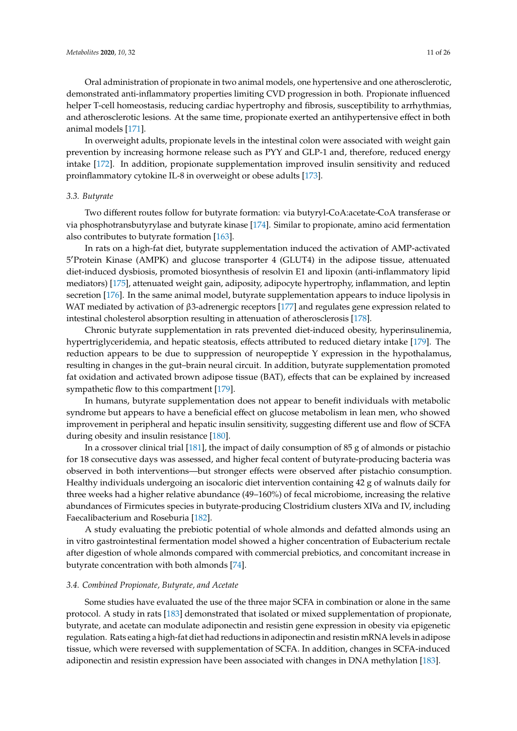Oral administration of propionate in two animal models, one hypertensive and one atherosclerotic, demonstrated anti-inflammatory properties limiting CVD progression in both. Propionate influenced helper T-cell homeostasis, reducing cardiac hypertrophy and fibrosis, susceptibility to arrhythmias, and atherosclerotic lesions. At the same time, propionate exerted an antihypertensive effect in both animal models [\[171\]](#page-22-16).

In overweight adults, propionate levels in the intestinal colon were associated with weight gain prevention by increasing hormone release such as PYY and GLP-1 and, therefore, reduced energy intake [\[172\]](#page-22-17). In addition, propionate supplementation improved insulin sensitivity and reduced proinflammatory cytokine IL-8 in overweight or obese adults [\[173\]](#page-23-0).

## *3.3. Butyrate*

Two different routes follow for butyrate formation: via butyryl-CoA:acetate-CoA transferase or via phosphotransbutyrylase and butyrate kinase [\[174\]](#page-23-1). Similar to propionate, amino acid fermentation also contributes to butyrate formation [\[163\]](#page-22-8).

In rats on a high-fat diet, butyrate supplementation induced the activation of AMP-activated 5'Protein Kinase (AMPK) and glucose transporter 4 (GLUT4) in the adipose tissue, attenuated diet-induced dysbiosis, promoted biosynthesis of resolvin E1 and lipoxin (anti-inflammatory lipid mediators) [\[175\]](#page-23-2), attenuated weight gain, adiposity, adipocyte hypertrophy, inflammation, and leptin secretion [\[176\]](#page-23-3). In the same animal model, butyrate supplementation appears to induce lipolysis in WAT mediated by activation of β3-adrenergic receptors [\[177\]](#page-23-4) and regulates gene expression related to intestinal cholesterol absorption resulting in attenuation of atherosclerosis [\[178\]](#page-23-5).

Chronic butyrate supplementation in rats prevented diet-induced obesity, hyperinsulinemia, hypertriglyceridemia, and hepatic steatosis, effects attributed to reduced dietary intake [\[179\]](#page-23-6). The reduction appears to be due to suppression of neuropeptide Y expression in the hypothalamus, resulting in changes in the gut–brain neural circuit. In addition, butyrate supplementation promoted fat oxidation and activated brown adipose tissue (BAT), effects that can be explained by increased sympathetic flow to this compartment [\[179\]](#page-23-6).

In humans, butyrate supplementation does not appear to benefit individuals with metabolic syndrome but appears to have a beneficial effect on glucose metabolism in lean men, who showed improvement in peripheral and hepatic insulin sensitivity, suggesting different use and flow of SCFA during obesity and insulin resistance [\[180\]](#page-23-7).

In a crossover clinical trial [\[181\]](#page-23-8), the impact of daily consumption of 85 g of almonds or pistachio for 18 consecutive days was assessed, and higher fecal content of butyrate-producing bacteria was observed in both interventions—but stronger effects were observed after pistachio consumption. Healthy individuals undergoing an isocaloric diet intervention containing 42 g of walnuts daily for three weeks had a higher relative abundance (49–160%) of fecal microbiome, increasing the relative abundances of Firmicutes species in butyrate-producing Clostridium clusters XIVa and IV, including Faecalibacterium and Roseburia [\[182\]](#page-23-9).

A study evaluating the prebiotic potential of whole almonds and defatted almonds using an in vitro gastrointestinal fermentation model showed a higher concentration of Eubacterium rectale after digestion of whole almonds compared with commercial prebiotics, and concomitant increase in butyrate concentration with both almonds [\[74\]](#page-18-2).

## *3.4. Combined Propionate, Butyrate, and Acetate*

Some studies have evaluated the use of the three major SCFA in combination or alone in the same protocol. A study in rats [\[183\]](#page-23-10) demonstrated that isolated or mixed supplementation of propionate, butyrate, and acetate can modulate adiponectin and resistin gene expression in obesity via epigenetic regulation. Rats eating a high-fat diet had reductions in adiponectin and resistin mRNA levels in adipose tissue, which were reversed with supplementation of SCFA. In addition, changes in SCFA-induced adiponectin and resistin expression have been associated with changes in DNA methylation [\[183\]](#page-23-10).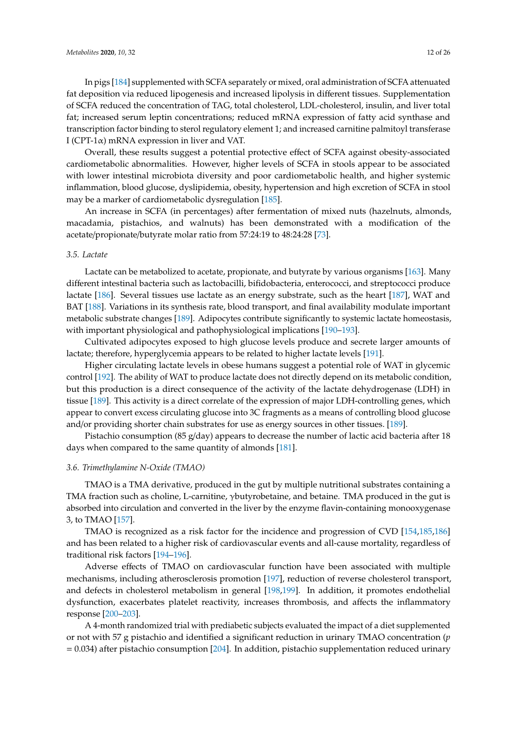In pigs [\[184\]](#page-23-11) supplemented with SCFA separately or mixed, oral administration of SCFA attenuated fat deposition via reduced lipogenesis and increased lipolysis in different tissues. Supplementation of SCFA reduced the concentration of TAG, total cholesterol, LDL-cholesterol, insulin, and liver total fat; increased serum leptin concentrations; reduced mRNA expression of fatty acid synthase and transcription factor binding to sterol regulatory element 1; and increased carnitine palmitoyl transferase I (CPT-1 $\alpha$ ) mRNA expression in liver and VAT.

Overall, these results suggest a potential protective effect of SCFA against obesity-associated cardiometabolic abnormalities. However, higher levels of SCFA in stools appear to be associated with lower intestinal microbiota diversity and poor cardiometabolic health, and higher systemic inflammation, blood glucose, dyslipidemia, obesity, hypertension and high excretion of SCFA in stool may be a marker of cardiometabolic dysregulation [\[185\]](#page-23-12).

An increase in SCFA (in percentages) after fermentation of mixed nuts (hazelnuts, almonds, macadamia, pistachios, and walnuts) has been demonstrated with a modification of the acetate/propionate/butyrate molar ratio from 57:24:19 to 48:24:28 [\[73\]](#page-18-1).

#### *3.5. Lactate*

Lactate can be metabolized to acetate, propionate, and butyrate by various organisms [\[163\]](#page-22-8). Many different intestinal bacteria such as lactobacilli, bifidobacteria, enterococci, and streptococci produce lactate [\[186\]](#page-23-13). Several tissues use lactate as an energy substrate, such as the heart [\[187\]](#page-23-14), WAT and BAT [\[188\]](#page-23-15). Variations in its synthesis rate, blood transport, and final availability modulate important metabolic substrate changes [\[189\]](#page-23-16). Adipocytes contribute significantly to systemic lactate homeostasis, with important physiological and pathophysiological implications [\[190–](#page-23-17)[193\]](#page-24-0).

Cultivated adipocytes exposed to high glucose levels produce and secrete larger amounts of lactate; therefore, hyperglycemia appears to be related to higher lactate levels [\[191\]](#page-24-1).

Higher circulating lactate levels in obese humans suggest a potential role of WAT in glycemic control [\[192\]](#page-24-2). The ability of WAT to produce lactate does not directly depend on its metabolic condition, but this production is a direct consequence of the activity of the lactate dehydrogenase (LDH) in tissue [\[189\]](#page-23-16). This activity is a direct correlate of the expression of major LDH-controlling genes, which appear to convert excess circulating glucose into 3C fragments as a means of controlling blood glucose and/or providing shorter chain substrates for use as energy sources in other tissues. [\[189\]](#page-23-16).

Pistachio consumption (85 g/day) appears to decrease the number of lactic acid bacteria after 18 days when compared to the same quantity of almonds [\[181\]](#page-23-8).

#### *3.6. Trimethylamine N-Oxide (TMAO)*

TMAO is a TMA derivative, produced in the gut by multiple nutritional substrates containing a TMA fraction such as choline, L-carnitine, γbutyrobetaine, and betaine. TMA produced in the gut is absorbed into circulation and converted in the liver by the enzyme flavin-containing monooxygenase 3, to TMAO [\[157\]](#page-22-2).

TMAO is recognized as a risk factor for the incidence and progression of CVD [\[154](#page-21-17)[,185](#page-23-12)[,186\]](#page-23-13) and has been related to a higher risk of cardiovascular events and all-cause mortality, regardless of traditional risk factors [\[194–](#page-24-3)[196\]](#page-24-4).

Adverse effects of TMAO on cardiovascular function have been associated with multiple mechanisms, including atherosclerosis promotion [\[197\]](#page-24-5), reduction of reverse cholesterol transport, and defects in cholesterol metabolism in general [\[198,](#page-24-6)[199\]](#page-24-7). In addition, it promotes endothelial dysfunction, exacerbates platelet reactivity, increases thrombosis, and affects the inflammatory response [\[200](#page-24-8)[–203\]](#page-24-9).

A 4-month randomized trial with prediabetic subjects evaluated the impact of a diet supplemented or not with 57 g pistachio and identified a significant reduction in urinary TMAO concentration (*p* = 0.034) after pistachio consumption [\[204\]](#page-24-10). In addition, pistachio supplementation reduced urinary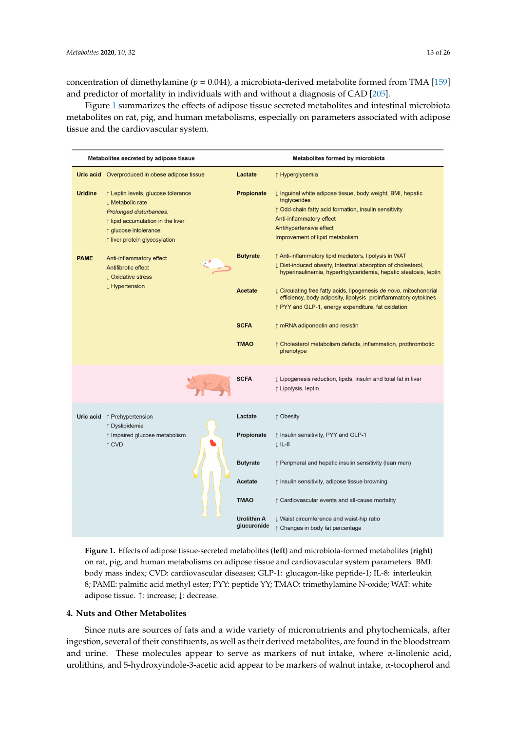concentration of dimethylamine ( $p = 0.044$ ), a microbiota-derived metabolite formed from TMA [\[159\]](#page-22-4) and predictor of mortality in individuals with and without a diagnosis of CAD [\[205\]](#page-24-11).

Figure [1](#page-12-0) summarizes the effects of adipose tissue secreted metabolites and intestinal microbiota metabolites on rat, pig, and human metabolisms, especially on parameters associated with adipose tissue and the cardiovascular system.

<span id="page-12-0"></span>

|                                                          | Metabolites secreted by adipose tissue                                                                                                                                                           |                               | Metabolites formed by microbiota                                                                                                                                                                                                                                                        |  |  |  |
|----------------------------------------------------------|--------------------------------------------------------------------------------------------------------------------------------------------------------------------------------------------------|-------------------------------|-----------------------------------------------------------------------------------------------------------------------------------------------------------------------------------------------------------------------------------------------------------------------------------------|--|--|--|
| Uric acid                                                | Overproduced in obese adipose tissue                                                                                                                                                             | Lactate                       | ↑ Hyperglycemia                                                                                                                                                                                                                                                                         |  |  |  |
| <b>Uridine</b>                                           | ↑ Leptin levels, glucose tolerance<br><b>J</b> Metabolic rate<br>Prolonged disturbances:<br>$\uparrow$ lipid accumulation in the liver<br>↑ glucose intolerance<br>↑ liver protein glycosylation | Propionate<br><b>Butyrate</b> | ↓ Inguinal white adipose tissue, body weight, BMI, hepatic<br>triglycerides<br>↑ Odd-chain fatty acid formation, insulin sensitivity<br>Anti-inflammatory effect<br>Antihypertensive effect<br>Improvement of lipid metabolism<br>↑ Anti-inflammatory lipid mediators, lipolysis in WAT |  |  |  |
| <b>PAME</b>                                              | Anti-inflammatory effect<br>Antifibrotic effect<br><b>L</b> Oxidative stress                                                                                                                     |                               | J Diet-induced obesity, Intestinal absorption of cholesterol,<br>hyperinsulinemia, hypertriglyceridemia, hepatic steatosis, leptin                                                                                                                                                      |  |  |  |
| Hypertension                                             |                                                                                                                                                                                                  | <b>Acetate</b>                | ↓ Circulating free fatty acids, lipogenesis de novo, mitochondrial<br>efficiency, body adiposity, lipolysis proinflammatory cytokines<br>↑ PYY and GLP-1, energy expenditure, fat oxidation                                                                                             |  |  |  |
|                                                          |                                                                                                                                                                                                  | <b>SCFA</b>                   | ↑ mRNA adiponectin and resistin                                                                                                                                                                                                                                                         |  |  |  |
|                                                          |                                                                                                                                                                                                  | <b>TMAO</b>                   | $\uparrow$ Cholesterol metabolism defects, inflammation, prothrombotic<br>phenotype                                                                                                                                                                                                     |  |  |  |
|                                                          |                                                                                                                                                                                                  | <b>SCFA</b>                   | I Lipogenesis reduction, lipids, insulin and total fat in liver<br>↑ Lipolysis, leptin                                                                                                                                                                                                  |  |  |  |
| Uric acid                                                | ↑ Prehypertension                                                                                                                                                                                | Lactate                       | ↑ Obesity                                                                                                                                                                                                                                                                               |  |  |  |
| ↑ Dyslipidemia<br>↑ Impaired glucose metabolism<br>↑ CVD |                                                                                                                                                                                                  | Propionate                    | ↑ Insulin sensitivity, PYY and GLP-1<br>$\downarrow$ IL-8                                                                                                                                                                                                                               |  |  |  |
|                                                          |                                                                                                                                                                                                  | <b>Butyrate</b>               | ↑ Peripheral and hepatic insulin sensitivity (lean men)                                                                                                                                                                                                                                 |  |  |  |
|                                                          |                                                                                                                                                                                                  | Acetate                       | ↑ Insulin sensitivity, adipose tissue browning                                                                                                                                                                                                                                          |  |  |  |
|                                                          |                                                                                                                                                                                                  | <b>TMAO</b>                   | ↑ Cardiovascular events and all-cause mortality                                                                                                                                                                                                                                         |  |  |  |
|                                                          |                                                                                                                                                                                                  | Urolithin A<br>glucuronide    | ↓ Waist circumference and waist-hip ratio<br>↑ Changes in body fat percentage                                                                                                                                                                                                           |  |  |  |

**Figure 1.** Effects of adipose tissue-secreted metabolites (**left**) and microbiota-formed metabolites (**right**) on rat, pig, and human metabolisms on adipose tissue and cardiovascular system parameters. BMI: body mass index; CVD: cardiovascular diseases; GLP-1: glucagon-like peptide-1; IL-8: interleukin 8; PAME: palmitic acid methyl ester; PYY: peptide YY; TMAO: trimethylamine N-oxide; WAT: white adipose tissue. ↑: increase; ↓: decrease.

## **4. Nuts and Other Metabolites**

Since nuts are sources of fats and a wide variety of micronutrients and phytochemicals, after ingestion, several of their constituents, as well as their derived metabolites, are found in the bloodstream and urine. These molecules appear to serve as markers of nut intake, where  $\alpha$ -linolenic acid, urolithins, and 5-hydroxyindole-3-acetic acid appear to be markers of walnut intake, α-tocopherol and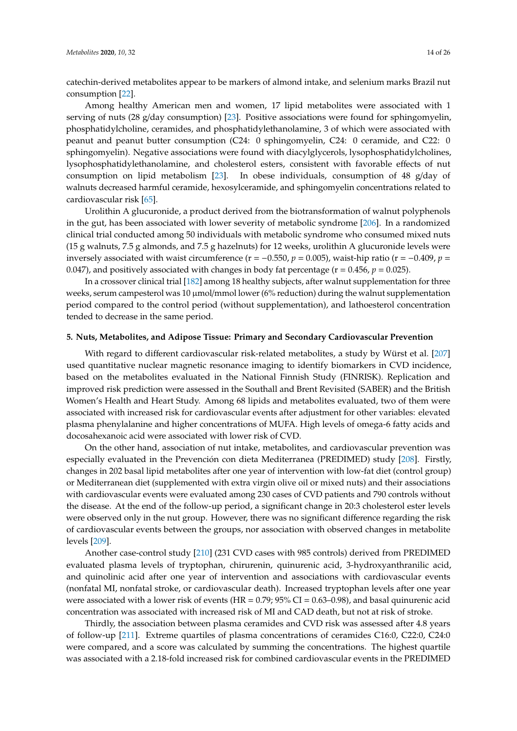catechin-derived metabolites appear to be markers of almond intake, and selenium marks Brazil nut consumption [\[22\]](#page-15-10).

Among healthy American men and women, 17 lipid metabolites were associated with 1 serving of nuts (28 g/day consumption) [\[23\]](#page-15-11). Positive associations were found for sphingomyelin, phosphatidylcholine, ceramides, and phosphatidylethanolamine, 3 of which were associated with peanut and peanut butter consumption (C24: 0 sphingomyelin, C24: 0 ceramide, and C22: 0 sphingomyelin). Negative associations were found with diacylglycerols, lysophosphatidylcholines, lysophosphatidylethanolamine, and cholesterol esters, consistent with favorable effects of nut consumption on lipid metabolism [\[23\]](#page-15-11). In obese individuals, consumption of 48 g/day of walnuts decreased harmful ceramide, hexosylceramide, and sphingomyelin concentrations related to cardiovascular risk [\[65\]](#page-17-9).

Urolithin A glucuronide, a product derived from the biotransformation of walnut polyphenols in the gut, has been associated with lower severity of metabolic syndrome [\[206\]](#page-24-12). In a randomized clinical trial conducted among 50 individuals with metabolic syndrome who consumed mixed nuts (15 g walnuts, 7.5 g almonds, and 7.5 g hazelnuts) for 12 weeks, urolithin A glucuronide levels were inversely associated with waist circumference ( $r = -0.550$ ,  $p = 0.005$ ), waist-hip ratio ( $r = -0.409$ ,  $p =$ 0.047), and positively associated with changes in body fat percentage ( $r = 0.456$ ,  $p = 0.025$ ).

In a crossover clinical trial [\[182\]](#page-23-9) among 18 healthy subjects, after walnut supplementation for three weeks, serum campesterol was 10  $\mu$ mol/mmol lower (6% reduction) during the walnut supplementation period compared to the control period (without supplementation), and lathoesterol concentration tended to decrease in the same period.

## **5. Nuts, Metabolites, and Adipose Tissue: Primary and Secondary Cardiovascular Prevention**

With regard to different cardiovascular risk-related metabolites, a study by Würst et al. [\[207\]](#page-24-13) used quantitative nuclear magnetic resonance imaging to identify biomarkers in CVD incidence, based on the metabolites evaluated in the National Finnish Study (FINRISK). Replication and improved risk prediction were assessed in the Southall and Brent Revisited (SABER) and the British Women's Health and Heart Study. Among 68 lipids and metabolites evaluated, two of them were associated with increased risk for cardiovascular events after adjustment for other variables: elevated plasma phenylalanine and higher concentrations of MUFA. High levels of omega-6 fatty acids and docosahexanoic acid were associated with lower risk of CVD.

On the other hand, association of nut intake, metabolites, and cardiovascular prevention was especially evaluated in the Prevención con dieta Mediterranea (PREDIMED) study [\[208\]](#page-24-14). Firstly, changes in 202 basal lipid metabolites after one year of intervention with low-fat diet (control group) or Mediterranean diet (supplemented with extra virgin olive oil or mixed nuts) and their associations with cardiovascular events were evaluated among 230 cases of CVD patients and 790 controls without the disease. At the end of the follow-up period, a significant change in 20:3 cholesterol ester levels were observed only in the nut group. However, there was no significant difference regarding the risk of cardiovascular events between the groups, nor association with observed changes in metabolite levels [\[209\]](#page-25-0).

Another case-control study [\[210\]](#page-25-1) (231 CVD cases with 985 controls) derived from PREDIMED evaluated plasma levels of tryptophan, chirurenin, quinurenic acid, 3-hydroxyanthranilic acid, and quinolinic acid after one year of intervention and associations with cardiovascular events (nonfatal MI, nonfatal stroke, or cardiovascular death). Increased tryptophan levels after one year were associated with a lower risk of events (HR =  $0.79$ ;  $95\%$  CI =  $0.63-0.98$ ), and basal quinurenic acid concentration was associated with increased risk of MI and CAD death, but not at risk of stroke.

Thirdly, the association between plasma ceramides and CVD risk was assessed after 4.8 years of follow-up [\[211\]](#page-25-2). Extreme quartiles of plasma concentrations of ceramides C16:0, C22:0, C24:0 were compared, and a score was calculated by summing the concentrations. The highest quartile was associated with a 2.18-fold increased risk for combined cardiovascular events in the PREDIMED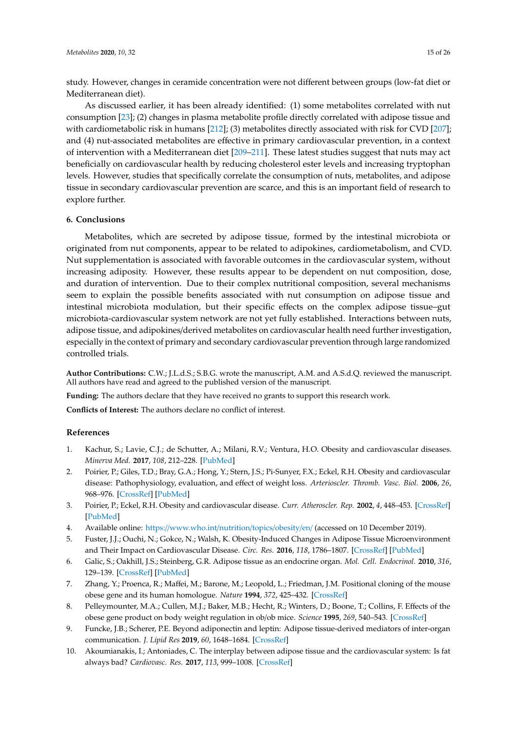study. However, changes in ceramide concentration were not different between groups (low-fat diet or Mediterranean diet).

As discussed earlier, it has been already identified: (1) some metabolites correlated with nut consumption [\[23\]](#page-15-11); (2) changes in plasma metabolite profile directly correlated with adipose tissue and with cardiometabolic risk in humans [\[212\]](#page-25-3); (3) metabolites directly associated with risk for CVD [\[207\]](#page-24-13); and (4) nut-associated metabolites are effective in primary cardiovascular prevention, in a context of intervention with a Mediterranean diet [\[209–](#page-25-0)[211\]](#page-25-2). These latest studies suggest that nuts may act beneficially on cardiovascular health by reducing cholesterol ester levels and increasing tryptophan levels. However, studies that specifically correlate the consumption of nuts, metabolites, and adipose tissue in secondary cardiovascular prevention are scarce, and this is an important field of research to explore further.

# **6. Conclusions**

Metabolites, which are secreted by adipose tissue, formed by the intestinal microbiota or originated from nut components, appear to be related to adipokines, cardiometabolism, and CVD. Nut supplementation is associated with favorable outcomes in the cardiovascular system, without increasing adiposity. However, these results appear to be dependent on nut composition, dose, and duration of intervention. Due to their complex nutritional composition, several mechanisms seem to explain the possible benefits associated with nut consumption on adipose tissue and intestinal microbiota modulation, but their specific effects on the complex adipose tissue–gut microbiota-cardiovascular system network are not yet fully established. Interactions between nuts, adipose tissue, and adipokines/derived metabolites on cardiovascular health need further investigation, especially in the context of primary and secondary cardiovascular prevention through large randomized controlled trials.

**Author Contributions:** C.W.; J.L.d.S.; S.B.G. wrote the manuscript, A.M. and A.S.d.Q. reviewed the manuscript. All authors have read and agreed to the published version of the manuscript.

**Funding:** The authors declare that they have received no grants to support this research work.

**Conflicts of Interest:** The authors declare no conflict of interest.

## **References**

- <span id="page-14-0"></span>1. Kachur, S.; Lavie, C.J.; de Schutter, A.; Milani, R.V.; Ventura, H.O. Obesity and cardiovascular diseases. *Minerva Med.* **2017**, *108*, 212–228. [\[PubMed\]](http://www.ncbi.nlm.nih.gov/pubmed/28150485)
- 2. Poirier, P.; Giles, T.D.; Bray, G.A.; Hong, Y.; Stern, J.S.; Pi-Sunyer, F.X.; Eckel, R.H. Obesity and cardiovascular disease: Pathophysiology, evaluation, and effect of weight loss. *Arterioscler. Thromb. Vasc. Biol.* **2006**, *26*, 968–976. [\[CrossRef\]](http://dx.doi.org/10.1161/01.ATV.0000216787.85457.f3) [\[PubMed\]](http://www.ncbi.nlm.nih.gov/pubmed/16627822)
- <span id="page-14-1"></span>3. Poirier, P.; Eckel, R.H. Obesity and cardiovascular disease. *Curr. Atheroscler. Rep.* **2002**, *4*, 448–453. [\[CrossRef\]](http://dx.doi.org/10.1007/s11883-002-0049-8) [\[PubMed\]](http://www.ncbi.nlm.nih.gov/pubmed/12361492)
- <span id="page-14-2"></span>4. Available online: https://[www.who.int](https://www.who.int/nutrition/topics/obesity/en/)/nutrition/topics/obesity/en/ (accessed on 10 December 2019).
- <span id="page-14-3"></span>5. Fuster, J.J.; Ouchi, N.; Gokce, N.; Walsh, K. Obesity-Induced Changes in Adipose Tissue Microenvironment and Their Impact on Cardiovascular Disease. *Circ. Res.* **2016**, *118*, 1786–1807. [\[CrossRef\]](http://dx.doi.org/10.1161/CIRCRESAHA.115.306885) [\[PubMed\]](http://www.ncbi.nlm.nih.gov/pubmed/27230642)
- <span id="page-14-4"></span>6. Galic, S.; Oakhill, J.S.; Steinberg, G.R. Adipose tissue as an endocrine organ. *Mol. Cell. Endocrinol.* **2010**, *316*, 129–139. [\[CrossRef\]](http://dx.doi.org/10.1016/j.mce.2009.08.018) [\[PubMed\]](http://www.ncbi.nlm.nih.gov/pubmed/19723556)
- <span id="page-14-5"></span>7. Zhang, Y.; Proenca, R.; Maffei, M.; Barone, M.; Leopold, L.; Friedman, J.M. Positional cloning of the mouse obese gene and its human homologue. *Nature* **1994**, *372*, 425–432. [\[CrossRef\]](http://dx.doi.org/10.1038/372425a0)
- <span id="page-14-6"></span>8. Pelleymounter, M.A.; Cullen, M.J.; Baker, M.B.; Hecht, R.; Winters, D.; Boone, T.; Collins, F. Effects of the obese gene product on body weight regulation in ob/ob mice. *Science* **1995**, *269*, 540–543. [\[CrossRef\]](http://dx.doi.org/10.1126/science.7624776)
- <span id="page-14-7"></span>9. Funcke, J.B.; Scherer, P.E. Beyond adiponectin and leptin: Adipose tissue-derived mediators of inter-organ communication. *J. Lipid Res* **2019**, *60*, 1648–1684. [\[CrossRef\]](http://dx.doi.org/10.1194/jlr.R094060)
- <span id="page-14-8"></span>10. Akoumianakis, I.; Antoniades, C. The interplay between adipose tissue and the cardiovascular system: Is fat always bad? *Cardiovasc. Res.* **2017**, *113*, 999–1008. [\[CrossRef\]](http://dx.doi.org/10.1093/cvr/cvx111)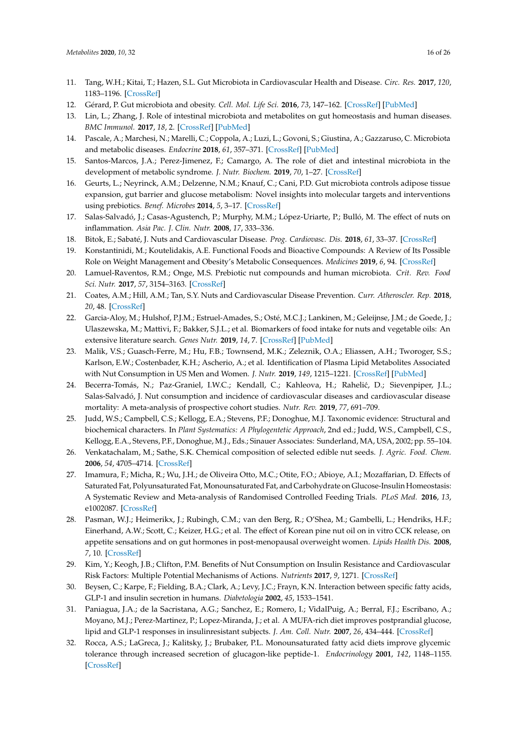- <span id="page-15-0"></span>11. Tang, W.H.; Kitai, T.; Hazen, S.L. Gut Microbiota in Cardiovascular Health and Disease. *Circ. Res.* **2017**, *120*, 1183–1196. [\[CrossRef\]](http://dx.doi.org/10.1161/CIRCRESAHA.117.309715)
- <span id="page-15-1"></span>12. Gérard, P. Gut microbiota and obesity. *Cell. Mol. Life Sci.* **2016**, *73*, 147–162. [\[CrossRef\]](http://dx.doi.org/10.1007/s00018-015-2061-5) [\[PubMed\]](http://www.ncbi.nlm.nih.gov/pubmed/26459447)
- <span id="page-15-2"></span>13. Lin, L.; Zhang, J. Role of intestinal microbiota and metabolites on gut homeostasis and human diseases. *BMC Immunol.* **2017**, *18*, 2. [\[CrossRef\]](http://dx.doi.org/10.1186/s12865-016-0187-3) [\[PubMed\]](http://www.ncbi.nlm.nih.gov/pubmed/28061847)
- <span id="page-15-3"></span>14. Pascale, A.; Marchesi, N.; Marelli, C.; Coppola, A.; Luzi, L.; Govoni, S.; Giustina, A.; Gazzaruso, C. Microbiota and metabolic diseases. *Endocrine* **2018**, *61*, 357–371. [\[CrossRef\]](http://dx.doi.org/10.1007/s12020-018-1605-5) [\[PubMed\]](http://www.ncbi.nlm.nih.gov/pubmed/29721802)
- <span id="page-15-4"></span>15. Santos-Marcos, J.A.; Perez-Jimenez, F.; Camargo, A. The role of diet and intestinal microbiota in the development of metabolic syndrome. *J. Nutr. Biochem.* **2019**, *70*, 1–27. [\[CrossRef\]](http://dx.doi.org/10.1016/j.jnutbio.2019.03.017)
- <span id="page-15-5"></span>16. Geurts, L.; Neyrinck, A.M.; Delzenne, N.M.; Knauf, C.; Cani, P.D. Gut microbiota controls adipose tissue expansion, gut barrier and glucose metabolism: Novel insights into molecular targets and interventions using prebiotics. *Benef. Microbes* **2014**, *5*, 3–17. [\[CrossRef\]](http://dx.doi.org/10.3920/BM2012.0065)
- <span id="page-15-6"></span>17. Salas-Salvadó, J.; Casas-Agustench, P.; Murphy, M.M.; López-Uriarte, P.; Bulló, M. The effect of nuts on inflammation. *Asia Pac. J. Clin. Nutr.* **2008**, *17*, 333–336.
- 18. Bitok, E.; Sabaté, J. Nuts and Cardiovascular Disease. *Prog. Cardiovasc. Dis.* **2018**, *61*, 33–37. [\[CrossRef\]](http://dx.doi.org/10.1016/j.pcad.2018.05.003)
- <span id="page-15-7"></span>19. Konstantinidi, M.; Koutelidakis, A.E. Functional Foods and Bioactive Compounds: A Review of Its Possible Role on Weight Management and Obesity's Metabolic Consequences. *Medicines* **2019**, *6*, 94. [\[CrossRef\]](http://dx.doi.org/10.3390/medicines6030094)
- <span id="page-15-8"></span>20. Lamuel-Raventos, R.M.; Onge, M.S. Prebiotic nut compounds and human microbiota. *Crit. Rev. Food Sci. Nutr.* **2017**, *57*, 3154–3163. [\[CrossRef\]](http://dx.doi.org/10.1080/10408398.2015.1096763)
- <span id="page-15-9"></span>21. Coates, A.M.; Hill, A.M.; Tan, S.Y. Nuts and Cardiovascular Disease Prevention. *Curr. Atheroscler. Rep.* **2018**, *20*, 48. [\[CrossRef\]](http://dx.doi.org/10.1007/s11883-018-0749-3)
- <span id="page-15-10"></span>22. Garcia-Aloy, M.; Hulshof, P.J.M.; Estruel-Amades, S.; Osté, M.C.J.; Lankinen, M.; Geleijnse, J.M.; de Goede, J.; Ulaszewska, M.; Mattivi, F.; Bakker, S.J.L.; et al. Biomarkers of food intake for nuts and vegetable oils: An extensive literature search. *Genes Nutr.* **2019**, *14*, 7. [\[CrossRef\]](http://dx.doi.org/10.1186/s12263-019-0628-8) [\[PubMed\]](http://www.ncbi.nlm.nih.gov/pubmed/30923582)
- <span id="page-15-11"></span>23. Malik, V.S.; Guasch-Ferre, M.; Hu, F.B.; Townsend, M.K.; Zeleznik, O.A.; Eliassen, A.H.; Tworoger, S.S.; Karlson, E.W.; Costenbader, K.H.; Ascherio, A.; et al. Identification of Plasma Lipid Metabolites Associated with Nut Consumption in US Men and Women. *J. Nutr.* **2019**, *149*, 1215–1221. [\[CrossRef\]](http://dx.doi.org/10.1093/jn/nxz048) [\[PubMed\]](http://www.ncbi.nlm.nih.gov/pubmed/31095304)
- <span id="page-15-12"></span>24. Becerra-Tomás, N.; Paz-Graniel, I.W.C.; Kendall, C.; Kahleova, H.; Rahelić, D.; Sievenpiper, J.L.; Salas-Salvadó, J. Nut consumption and incidence of cardiovascular diseases and cardiovascular disease mortality: A meta-analysis of prospective cohort studies. *Nutr. Rev.* **2019**, *77*, 691–709.
- <span id="page-15-13"></span>25. Judd, W.S.; Campbell, C.S.; Kellogg, E.A.; Stevens, P.F.; Donoghue, M.J. Taxonomic evidence: Structural and biochemical characters. In *Plant Systematics: A Phylogentetic Approach*, 2nd ed.; Judd, W.S., Campbell, C.S., Kellogg, E.A., Stevens, P.F., Donoghue, M.J., Eds.; Sinauer Associates: Sunderland, MA, USA, 2002; pp. 55–104.
- <span id="page-15-14"></span>26. Venkatachalam, M.; Sathe, S.K. Chemical composition of selected edible nut seeds. *J. Agric. Food. Chem.* **2006**, *54*, 4705–4714. [\[CrossRef\]](http://dx.doi.org/10.1021/jf0606959)
- <span id="page-15-15"></span>27. Imamura, F.; Micha, R.; Wu, J.H.; de Oliveira Otto, M.C.; Otite, F.O.; Abioye, A.I.; Mozaffarian, D. Effects of Saturated Fat, Polyunsaturated Fat, Monounsaturated Fat, and Carbohydrate on Glucose-Insulin Homeostasis: A Systematic Review and Meta-analysis of Randomised Controlled Feeding Trials. *PLoS Med.* **2016**, *13*, e1002087. [\[CrossRef\]](http://dx.doi.org/10.1371/journal.pmed.1002087)
- 28. Pasman, W.J.; Heimerikx, J.; Rubingh, C.M.; van den Berg, R.; O'Shea, M.; Gambelli, L.; Hendriks, H.F.; Einerhand, A.W.; Scott, C.; Keizer, H.G.; et al. The effect of Korean pine nut oil on in vitro CCK release, on appetite sensations and on gut hormones in post-menopausal overweight women. *Lipids Health Dis.* **2008**, *7*, 10. [\[CrossRef\]](http://dx.doi.org/10.1186/1476-511X-7-10)
- 29. Kim, Y.; Keogh, J.B.; Clifton, P.M. Benefits of Nut Consumption on Insulin Resistance and Cardiovascular Risk Factors: Multiple Potential Mechanisms of Actions. *Nutrients* **2017**, *9*, 1271. [\[CrossRef\]](http://dx.doi.org/10.3390/nu9111271)
- 30. Beysen, C.; Karpe, F.; Fielding, B.A.; Clark, A.; Levy, J.C.; Frayn, K.N. Interaction between specific fatty acids, GLP-1 and insulin secretion in humans. *Diabetologia* **2002**, *45*, 1533–1541.
- 31. Paniagua, J.A.; de la Sacristana, A.G.; Sanchez, E.; Romero, I.; VidalPuig, A.; Berral, F.J.; Escribano, A.; Moyano, M.J.; Perez-Martinez, P.; Lopez-Miranda, J.; et al. A MUFA-rich diet improves postprandial glucose, lipid and GLP-1 responses in insulinresistant subjects. *J. Am. Coll. Nutr.* **2007**, *26*, 434–444. [\[CrossRef\]](http://dx.doi.org/10.1080/07315724.2007.10719633)
- 32. Rocca, A.S.; LaGreca, J.; Kalitsky, J.; Brubaker, P.L. Monounsaturated fatty acid diets improve glycemic tolerance through increased secretion of glucagon-like peptide-1. *Endocrinology* **2001**, *142*, 1148–1155. [\[CrossRef\]](http://dx.doi.org/10.1210/endo.142.3.8034)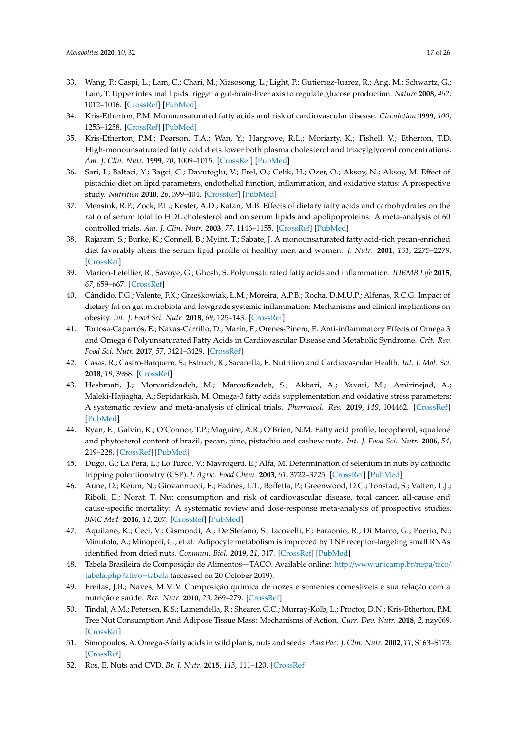- <span id="page-16-0"></span>33. Wang, P.; Caspi, L.; Lam, C.; Chari, M.; Xiasosong, L.; Light, P.; Gutierrez-Juarez, R.; Ang, M.; Schwartz, G.; Lam, T. Upper intestinal lipids trigger a gut-brain-liver axis to regulate glucose production. *Nature* **2008**, *452*, 1012–1016. [\[CrossRef\]](http://dx.doi.org/10.1038/nature06852) [\[PubMed\]](http://www.ncbi.nlm.nih.gov/pubmed/18401341)
- <span id="page-16-1"></span>34. Kris-Etherton, P.M. Monounsaturated fatty acids and risk of cardiovascular disease. *Circulation* **1999**, *100*, 1253–1258. [\[CrossRef\]](http://dx.doi.org/10.1161/01.CIR.100.11.1253) [\[PubMed\]](http://www.ncbi.nlm.nih.gov/pubmed/10484550)
- 35. Kris-Etherton, P.M.; Pearson, T.A.; Wan, Y.; Hargrove, R.L.; Moriarty, K.; Fishell, V.; Etherton, T.D. High-monounsaturated fatty acid diets lower both plasma cholesterol and triacylglycerol concentrations. *Am. J. Clin. Nutr.* **1999**, *70*, 1009–1015. [\[CrossRef\]](http://dx.doi.org/10.1093/ajcn/70.6.1009) [\[PubMed\]](http://www.ncbi.nlm.nih.gov/pubmed/10584045)
- 36. Sari, I.; Baltaci, Y.; Bagci, C.; Davutoglu, V.; Erel, O.; Celik, H.; Ozer, O.; Aksoy, N.; Aksoy, M. Effect of pistachio diet on lipid parameters, endothelial function, inflammation, and oxidative status: A prospective study. *Nutrition* **2010**, *26*, 399–404. [\[CrossRef\]](http://dx.doi.org/10.1016/j.nut.2009.05.023) [\[PubMed\]](http://www.ncbi.nlm.nih.gov/pubmed/19647416)
- 37. Mensink, R.P.; Zock, P.L.; Kester, A.D.; Katan, M.B. Effects of dietary fatty acids and carbohydrates on the ratio of serum total to HDL cholesterol and on serum lipids and apolipoproteins: A meta-analysis of 60 controlled trials. *Am. J. Clin. Nutr.* **2003**, *77*, 1146–1155. [\[CrossRef\]](http://dx.doi.org/10.1093/ajcn/77.5.1146) [\[PubMed\]](http://www.ncbi.nlm.nih.gov/pubmed/12716665)
- <span id="page-16-2"></span>38. Rajaram, S.; Burke, K.; Connell, B.; Myint, T.; Sabate, J. A monounsaturated fatty acid-rich pecan-enriched diet favorably alters the serum lipid profile of healthy men and women. *J. Nutr.* **2001**, *131*, 2275–2279. [\[CrossRef\]](http://dx.doi.org/10.1093/jn/131.9.2275)
- <span id="page-16-3"></span>39. Marion-Letellier, R.; Savoye, G.; Ghosh, S. Polyunsaturated fatty acids and inflammation. *IUBMB Life* **2015**, *67*, 659–667. [\[CrossRef\]](http://dx.doi.org/10.1002/iub.1428)
- 40. Cândido, F.G.; Valente, F.X.; Grześkowiak, Ł.M.; Moreira, A.P.B.; Rocha, D.M.U.P.; Alfenas, R.C.G. Impact of dietary fat on gut microbiota and lowgrade systemic inflammation: Mechanisms and clinical implications on obesity. *Int. J. Food Sci. Nutr.* **2018**, *69*, 125–143. [\[CrossRef\]](http://dx.doi.org/10.1080/09637486.2017.1343286)
- 41. Tortosa-Caparrós, E.; Navas-Carrillo, D.; Marín, F.; Orenes-Piñero, E. Anti-inflammatory Effects of Omega 3 and Omega 6 Polyunsaturated Fatty Acids in Cardiovascular Disease and Metabolic Syndrome. *Crit. Rev. Food Sci. Nutr.* **2017**, *57*, 3421–3429. [\[CrossRef\]](http://dx.doi.org/10.1080/10408398.2015.1126549)
- <span id="page-16-4"></span>42. Casas, R.; Castro-Barquero, S.; Estruch, R.; Sacanella, E. Nutrition and Cardiovascular Health. *Int. J. Mol. Sci.* **2018**, *19*, 3988. [\[CrossRef\]](http://dx.doi.org/10.3390/ijms19123988)
- <span id="page-16-5"></span>43. Heshmati, J.; Morvaridzadeh, M.; Maroufizadeh, S.; Akbari, A.; Yavari, M.; Amirinejad, A.; Maleki-Hajiagha, A.; Sepidarkish, M. Omega-3 fatty acids supplementation and oxidative stress parameters: A systematic review and meta-analysis of clinical trials. *Pharmacol. Res.* **2019**, *149*, 104462. [\[CrossRef\]](http://dx.doi.org/10.1016/j.phrs.2019.104462) [\[PubMed\]](http://www.ncbi.nlm.nih.gov/pubmed/31563611)
- <span id="page-16-6"></span>44. Ryan, E.; Galvin, K.; O'Connor, T.P.; Maguire, A.R.; O'Brien, N.M. Fatty acid profile, tocopherol, squalene and phytosterol content of brazil, pecan, pine, pistachio and cashew nuts. *Int. J. Food Sci. Nutr.* **2006**, *54*, 219–228. [\[CrossRef\]](http://dx.doi.org/10.1080/09637480600768077) [\[PubMed\]](http://www.ncbi.nlm.nih.gov/pubmed/17127473)
- <span id="page-16-7"></span>45. Dugo, G.; La Pera, L.; Lo Turco, V.; Mavrogeni, E.; Alfa, M. Determination of selenium in nuts by cathodic tripping potentiometry (CSP). *J. Agric. Food Chem.* **2003**, *51*, 3722–3725. [\[CrossRef\]](http://dx.doi.org/10.1021/jf021256m) [\[PubMed\]](http://www.ncbi.nlm.nih.gov/pubmed/12797733)
- <span id="page-16-8"></span>46. Aune, D.; Keum, N.; Giovannucci, E.; Fadnes, L.T.; Boffetta, P.; Greenwood, D.C.; Tonstad, S.; Vatten, L.J.; Riboli, E.; Norat, T. Nut consumption and risk of cardiovascular disease, total cancer, all-cause and cause-specific mortality: A systematic review and dose-response meta-analysis of prospective studies. *BMC Med.* **2016**, *14*, 207. [\[CrossRef\]](http://dx.doi.org/10.1186/s12916-016-0730-3) [\[PubMed\]](http://www.ncbi.nlm.nih.gov/pubmed/27916000)
- <span id="page-16-9"></span>47. Aquilano, K.; Ceci, V.; Gismondi, A.; De Stefano, S.; Iacovelli, F.; Faraonio, R.; Di Marco, G.; Poerio, N.; Minutolo, A.; Minopoli, G.; et al. Adipocyte metabolism is improved by TNF receptor-targeting small RNAs identified from dried nuts. *Commun. Biol.* **2019**, *21*, 317. [\[CrossRef\]](http://dx.doi.org/10.1038/s42003-019-0563-7) [\[PubMed\]](http://www.ncbi.nlm.nih.gov/pubmed/31453381)
- <span id="page-16-10"></span>48. Tabela Brasileira de Composição de Alimentos—TACO. Available online: http://[www.unicamp.br](http://www.unicamp.br/nepa/taco/tabela.php?ativo=tabela)/nepa/taco/ [tabela.php?ativo](http://www.unicamp.br/nepa/taco/tabela.php?ativo=tabela)=tabela (accessed on 20 October 2019).
- <span id="page-16-11"></span>49. Freitas, J.B.; Naves, M.M.V. Composição química de nozes e sementes comestíveis e sua relação com a nutrição e saúde. *Rev. Nutr.* **2010**, *23*, 269–279. [\[CrossRef\]](http://dx.doi.org/10.1590/S1415-52732010000200010)
- <span id="page-16-13"></span>50. Tindal, A.M.; Petersen, K.S.; Lamendella, R.; Shearer, G.C.; Murray-Kolb, L.; Proctor, D.N.; Kris-Etherton, P.M. Tree Nut Consumption And Adipose Tissue Mass: Mechanisms of Action. *Curr. Dev. Nutr.* **2018**, *2*, nzy069. [\[CrossRef\]](http://dx.doi.org/10.1093/cdn/nzy069)
- <span id="page-16-12"></span>51. Simopoulos, A. Omega-3 fatty acids in wild plants, nuts and seeds. *Asia Pac. J. Clin. Nutr.* **2002**, *11*, S163–S173. [\[CrossRef\]](http://dx.doi.org/10.1046/j.1440-6047.11.s.6.5.x)
- <span id="page-16-14"></span>52. Ros, E. Nuts and CVD. *Br. J. Nutr.* **2015**, *113*, 111–120. [\[CrossRef\]](http://dx.doi.org/10.1017/S0007114514003924)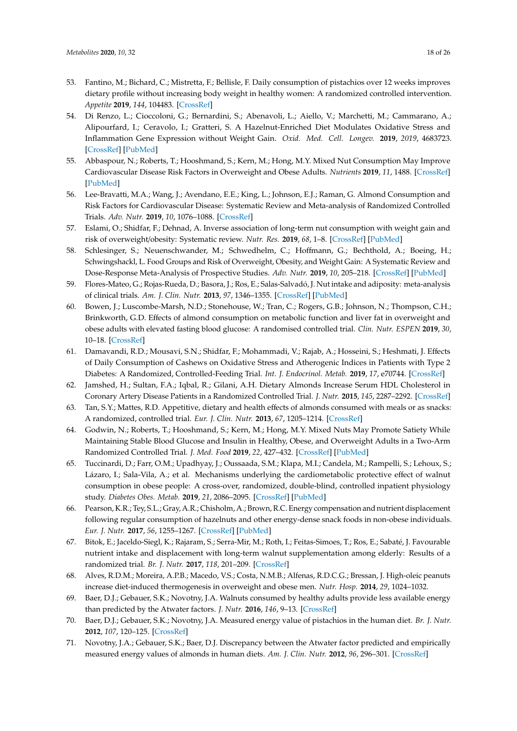- <span id="page-17-19"></span><span id="page-17-17"></span><span id="page-17-16"></span><span id="page-17-15"></span><span id="page-17-6"></span>53. Fantino, M.; Bichard, C.; Mistretta, F.; Bellisle, F. Daily consumption of pistachios over 12 weeks improves dietary profile without increasing body weight in healthy women: A randomized controlled intervention. *Appetite* **2019**, *144*, 104483. [\[CrossRef\]](http://dx.doi.org/10.1016/j.appet.2019.104483)
- <span id="page-17-21"></span><span id="page-17-1"></span>54. Di Renzo, L.; Cioccoloni, G.; Bernardini, S.; Abenavoli, L.; Aiello, V.; Marchetti, M.; Cammarano, A.; Alipourfard, I.; Ceravolo, I.; Gratteri, S. A Hazelnut-Enriched Diet Modulates Oxidative Stress and Inflammation Gene Expression without Weight Gain. *Oxid. Med. Cell. Longev.* **2019**, *2019*, 4683723. [\[CrossRef\]](http://dx.doi.org/10.1155/2019/4683723) [\[PubMed\]](http://www.ncbi.nlm.nih.gov/pubmed/31354906)
- <span id="page-17-22"></span><span id="page-17-2"></span>55. Abbaspour, N.; Roberts, T.; Hooshmand, S.; Kern, M.; Hong, M.Y. Mixed Nut Consumption May Improve Cardiovascular Disease Risk Factors in Overweight and Obese Adults. *Nutrients* **2019**, *11*, 1488. [\[CrossRef\]](http://dx.doi.org/10.3390/nu11071488) [\[PubMed\]](http://www.ncbi.nlm.nih.gov/pubmed/31261928)
- <span id="page-17-20"></span><span id="page-17-18"></span>56. Lee-Bravatti, M.A.; Wang, J.; Avendano, E.E.; King, L.; Johnson, E.J.; Raman, G. Almond Consumption and Risk Factors for Cardiovascular Disease: Systematic Review and Meta-analysis of Randomized Controlled Trials. *Adv. Nutr.* **2019**, *10*, 1076–1088. [\[CrossRef\]](http://dx.doi.org/10.1093/advances/nmz043)
- 57. Eslami, O.; Shidfar, F.; Dehnad, A. Inverse association of long-term nut consumption with weight gain and risk of overweight/obesity: Systematic review. *Nutr. Res.* **2019**, *68*, 1–8. [\[CrossRef\]](http://dx.doi.org/10.1016/j.nutres.2019.04.001) [\[PubMed\]](http://www.ncbi.nlm.nih.gov/pubmed/31151081)
- <span id="page-17-23"></span>58. Schlesinger, S.; Neuenschwander, M.; Schwedhelm, C.; Hoffmann, G.; Bechthold, A.; Boeing, H.; Schwingshackl, L. Food Groups and Risk of Overweight, Obesity, and Weight Gain: A Systematic Review and Dose-Response Meta-Analysis of Prospective Studies. *Adv. Nutr.* **2019**, *10*, 205–218. [\[CrossRef\]](http://dx.doi.org/10.1093/advances/nmy092) [\[PubMed\]](http://www.ncbi.nlm.nih.gov/pubmed/30801613)
- <span id="page-17-0"></span>59. Flores-Mateo, G.; Rojas-Rueda, D.; Basora, J.; Ros, E.; Salas-Salvadó, J. Nut intake and adiposity: meta-analysis of clinical trials. *Am. J. Clin. Nutr.* **2013**, *97*, 1346–1355. [\[CrossRef\]](http://dx.doi.org/10.3945/ajcn.111.031484) [\[PubMed\]](http://www.ncbi.nlm.nih.gov/pubmed/23595878)
- <span id="page-17-3"></span>60. Bowen, J.; Luscombe-Marsh, N.D.; Stonehouse, W.; Tran, C.; Rogers, G.B.; Johnson, N.; Thompson, C.H.; Brinkworth, G.D. Effects of almond consumption on metabolic function and liver fat in overweight and obese adults with elevated fasting blood glucose: A randomised controlled trial. *Clin. Nutr. ESPEN* **2019**, *30*, 10–18. [\[CrossRef\]](http://dx.doi.org/10.1016/j.clnesp.2018.12.088)
- <span id="page-17-4"></span>61. Damavandi, R.D.; Mousavi, S.N.; Shidfar, F.; Mohammadi, V.; Rajab, A.; Hosseini, S.; Heshmati, J. Effects of Daily Consumption of Cashews on Oxidative Stress and Atherogenic Indices in Patients with Type 2 Diabetes: A Randomized, Controlled-Feeding Trial. *Int. J. Endocrinol. Metab.* **2019**, *17*, e70744. [\[CrossRef\]](http://dx.doi.org/10.5812/ijem.70744)
- <span id="page-17-5"></span>62. Jamshed, H.; Sultan, F.A.; Iqbal, R.; Gilani, A.H. Dietary Almonds Increase Serum HDL Cholesterol in Coronary Artery Disease Patients in a Randomized Controlled Trial. *J. Nutr.* **2015**, *145*, 2287–2292. [\[CrossRef\]](http://dx.doi.org/10.3945/jn.114.207944)
- <span id="page-17-7"></span>63. Tan, S.Y.; Mattes, R.D. Appetitive, dietary and health effects of almonds consumed with meals or as snacks: A randomized, controlled trial. *Eur. J. Clin. Nutr.* **2013**, *67*, 1205–1214. [\[CrossRef\]](http://dx.doi.org/10.1038/ejcn.2013.184)
- <span id="page-17-8"></span>64. Godwin, N.; Roberts, T.; Hooshmand, S.; Kern, M.; Hong, M.Y. Mixed Nuts May Promote Satiety While Maintaining Stable Blood Glucose and Insulin in Healthy, Obese, and Overweight Adults in a Two-Arm Randomized Controlled Trial. *J. Med. Food* **2019**, *22*, 427–432. [\[CrossRef\]](http://dx.doi.org/10.1089/jmf.2018.0127) [\[PubMed\]](http://www.ncbi.nlm.nih.gov/pubmed/30897012)
- <span id="page-17-9"></span>65. Tuccinardi, D.; Farr, O.M.; Upadhyay, J.; Oussaada, S.M.; Klapa, M.I.; Candela, M.; Rampelli, S.; Lehoux, S.; Lázaro, I.; Sala-Vila, A.; et al. Mechanisms underlying the cardiometabolic protective effect of walnut consumption in obese people: A cross-over, randomized, double-blind, controlled inpatient physiology study. *Diabetes Obes. Metab.* **2019**, *21*, 2086–2095. [\[CrossRef\]](http://dx.doi.org/10.1111/dom.13773) [\[PubMed\]](http://www.ncbi.nlm.nih.gov/pubmed/31087608)
- <span id="page-17-10"></span>66. Pearson, K.R.; Tey, S.L.; Gray, A.R.; Chisholm, A.; Brown, R.C. Energy compensation and nutrient displacement following regular consumption of hazelnuts and other energy-dense snack foods in non-obese individuals. *Eur. J. Nutr.* **2017**, *56*, 1255–1267. [\[CrossRef\]](http://dx.doi.org/10.1007/s00394-016-1176-2) [\[PubMed\]](http://www.ncbi.nlm.nih.gov/pubmed/26897125)
- <span id="page-17-11"></span>67. Bitok, E.; Jaceldo-Siegl, K.; Rajaram, S.; Serra-Mir, M.; Roth, I.; Feitas-Simoes, T.; Ros, E.; Sabaté, J. Favourable nutrient intake and displacement with long-term walnut supplementation among elderly: Results of a randomized trial. *Br. J. Nutr.* **2017**, *118*, 201–209. [\[CrossRef\]](http://dx.doi.org/10.1017/S0007114517001957)
- <span id="page-17-12"></span>68. Alves, R.D.M.; Moreira, A.P.B.; Macedo, V.S.; Costa, N.M.B.; Alfenas, R.D.C.G.; Bressan, J. High-oleic peanuts increase diet-induced thermogenesis in overweight and obese men. *Nutr. Hosp.* **2014**, *29*, 1024–1032.
- <span id="page-17-13"></span>69. Baer, D.J.; Gebauer, S.K.; Novotny, J.A. Walnuts consumed by healthy adults provide less available energy than predicted by the Atwater factors. *J. Nutr.* **2016**, *146*, 9–13. [\[CrossRef\]](http://dx.doi.org/10.3945/jn.115.217372)
- 70. Baer, D.J.; Gebauer, S.K.; Novotny, J.A. Measured energy value of pistachios in the human diet. *Br. J. Nutr.* **2012**, *107*, 120–125. [\[CrossRef\]](http://dx.doi.org/10.1017/S0007114511002649)
- <span id="page-17-14"></span>71. Novotny, J.A.; Gebauer, S.K.; Baer, D.J. Discrepancy between the Atwater factor predicted and empirically measured energy values of almonds in human diets. *Am. J. Clin. Nutr.* **2012**, *96*, 296–301. [\[CrossRef\]](http://dx.doi.org/10.3945/ajcn.112.035782)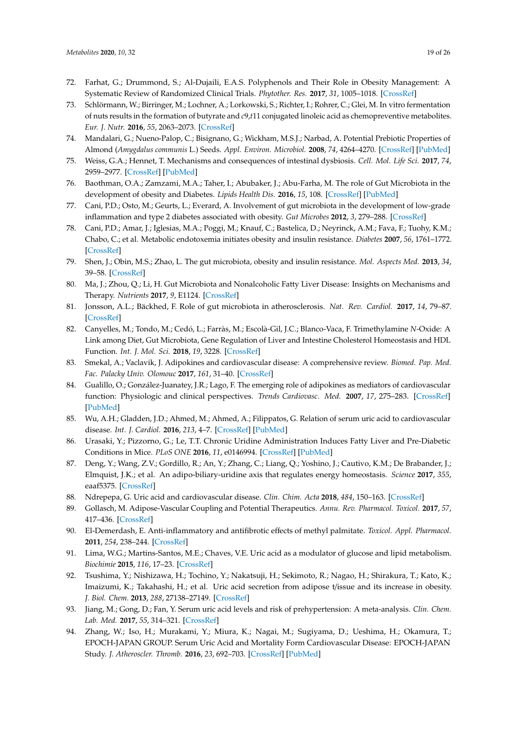- <span id="page-18-0"></span>72. Farhat, G.; Drummond, S.; Al-Dujaili, E.A.S. Polyphenols and Their Role in Obesity Management: A Systematic Review of Randomized Clinical Trials. *Phytother. Res.* **2017**, *31*, 1005–1018. [\[CrossRef\]](http://dx.doi.org/10.1002/ptr.5830)
- <span id="page-18-1"></span>73. Schlörmann, W.; Birringer, M.; Lochner, A.; Lorkowski, S.; Richter, I.; Rohrer, C.; Glei, M. In vitro fermentation of nuts results in the formation of butyrate and *c*9,*t*11 conjugated linoleic acid as chemopreventive metabolites. *Eur. J. Nutr.* **2016**, *55*, 2063–2073. [\[CrossRef\]](http://dx.doi.org/10.1007/s00394-015-1020-0)
- <span id="page-18-2"></span>74. Mandalari, G.; Nueno-Palop, C.; Bisignano, G.; Wickham, M.S.J.; Narbad, A. Potential Prebiotic Properties of Almond (*Amygdalus communis* L.) Seeds. *Appl. Environ. Microbiol.* **2008**, *74*, 4264–4270. [\[CrossRef\]](http://dx.doi.org/10.1128/AEM.00739-08) [\[PubMed\]](http://www.ncbi.nlm.nih.gov/pubmed/18502914)
- <span id="page-18-3"></span>75. Weiss, G.A.; Hennet, T. Mechanisms and consequences of intestinal dysbiosis. *Cell. Mol. Life Sci.* **2017**, *74*, 2959–2977. [\[CrossRef\]](http://dx.doi.org/10.1007/s00018-017-2509-x) [\[PubMed\]](http://www.ncbi.nlm.nih.gov/pubmed/28352996)
- <span id="page-18-4"></span>76. Baothman, O.A.; Zamzami, M.A.; Taher, I.; Abubaker, J.; Abu-Farha, M. The role of Gut Microbiota in the development of obesity and Diabetes. *Lipids Health Dis.* **2016**, *15*, 108. [\[CrossRef\]](http://dx.doi.org/10.1186/s12944-016-0278-4) [\[PubMed\]](http://www.ncbi.nlm.nih.gov/pubmed/27317359)
- <span id="page-18-5"></span>77. Cani, P.D.; Osto, M.; Geurts, L.; Everard, A. Involvement of gut microbiota in the development of low-grade inflammation and type 2 diabetes associated with obesity. *Gut Microbes* **2012**, *3*, 279–288. [\[CrossRef\]](http://dx.doi.org/10.4161/gmic.19625)
- <span id="page-18-6"></span>78. Cani, P.D.; Amar, J.; Iglesias, M.A.; Poggi, M.; Knauf, C.; Bastelica, D.; Neyrinck, A.M.; Fava, F.; Tuohy, K.M.; Chabo, C.; et al. Metabolic endotoxemia initiates obesity and insulin resistance. *Diabetes* **2007**, *56*, 1761–1772. [\[CrossRef\]](http://dx.doi.org/10.2337/db06-1491)
- <span id="page-18-7"></span>79. Shen, J.; Obin, M.S.; Zhao, L. The gut microbiota, obesity and insulin resistance. *Mol. Aspects Med.* **2013**, *34*, 39–58. [\[CrossRef\]](http://dx.doi.org/10.1016/j.mam.2012.11.001)
- <span id="page-18-8"></span>80. Ma, J.; Zhou, Q.; Li, H. Gut Microbiota and Nonalcoholic Fatty Liver Disease: Insights on Mechanisms and Therapy. *Nutrients* **2017**, *9*, E1124. [\[CrossRef\]](http://dx.doi.org/10.3390/nu9101124)
- <span id="page-18-9"></span>81. Jonsson, A.L.; Bäckhed, F. Role of gut microbiota in atherosclerosis. *Nat. Rev. Cardiol.* **2017**, *14*, 79–87. [\[CrossRef\]](http://dx.doi.org/10.1038/nrcardio.2016.183)
- <span id="page-18-10"></span>82. Canyelles, M.; Tondo, M.; Cedó, L.; Farràs, M.; Escolà-Gil, J.C.; Blanco-Vaca, F. Trimethylamine *N*-Oxide: A Link among Diet, Gut Microbiota, Gene Regulation of Liver and Intestine Cholesterol Homeostasis and HDL Function. *Int. J. Mol. Sci.* **2018**, *19*, 3228. [\[CrossRef\]](http://dx.doi.org/10.3390/ijms19103228)
- <span id="page-18-11"></span>83. Smekal, A.; Vaclavik, J. Adipokines and cardiovascular disease: A comprehensive review. *Biomed. Pap. Med. Fac. Palacky Univ. Olomouc* **2017**, *161*, 31–40. [\[CrossRef\]](http://dx.doi.org/10.5507/bp.2017.002)
- <span id="page-18-12"></span>84. Gualillo, O.; González-Juanatey, J.R.; Lago, F. The emerging role of adipokines as mediators of cardiovascular function: Physiologic and clinical perspectives. *Trends Cardiovasc. Med.* **2007**, *17*, 275–283. [\[CrossRef\]](http://dx.doi.org/10.1016/j.tcm.2007.09.005) [\[PubMed\]](http://www.ncbi.nlm.nih.gov/pubmed/18021938)
- <span id="page-18-13"></span>85. Wu, A.H.; Gladden, J.D.; Ahmed, M.; Ahmed, A.; Filippatos, G. Relation of serum uric acid to cardiovascular disease. *Int. J. Cardiol.* **2016**, *213*, 4–7. [\[CrossRef\]](http://dx.doi.org/10.1016/j.ijcard.2015.08.110) [\[PubMed\]](http://www.ncbi.nlm.nih.gov/pubmed/26341316)
- <span id="page-18-14"></span>86. Urasaki, Y.; Pizzorno, G.; Le, T.T. Chronic Uridine Administration Induces Fatty Liver and Pre-Diabetic Conditions in Mice. *PLoS ONE* **2016**, *11*, e0146994. [\[CrossRef\]](http://dx.doi.org/10.1371/journal.pone.0146994) [\[PubMed\]](http://www.ncbi.nlm.nih.gov/pubmed/26789264)
- <span id="page-18-15"></span>87. Deng, Y.; Wang, Z.V.; Gordillo, R.; An, Y.; Zhang, C.; Liang, Q.; Yoshino, J.; Cautivo, K.M.; De Brabander, J.; Elmquist, J.K.; et al. An adipo-biliary-uridine axis that regulates energy homeostasis. *Science* **2017**, *355*, eaaf5375. [\[CrossRef\]](http://dx.doi.org/10.1126/science.aaf5375)
- <span id="page-18-16"></span>88. Ndrepepa, G. Uric acid and cardiovascular disease. *Clin. Chim. Acta* **2018**, *484*, 150–163. [\[CrossRef\]](http://dx.doi.org/10.1016/j.cca.2018.05.046)
- <span id="page-18-17"></span>89. Gollasch, M. Adipose-Vascular Coupling and Potential Therapeutics. *Annu. Rev. Pharmacol. Toxicol.* **2017**, *57*, 417–436. [\[CrossRef\]](http://dx.doi.org/10.1146/annurev-pharmtox-010716-104542)
- <span id="page-18-18"></span>90. El-Demerdash, E. Anti-inflammatory and antifibrotic effects of methyl palmitate. *Toxicol. Appl. Pharmacol.* **2011**, *254*, 238–244. [\[CrossRef\]](http://dx.doi.org/10.1016/j.taap.2011.04.016)
- <span id="page-18-19"></span>91. Lima, W.G.; Martins-Santos, M.E.; Chaves, V.E. Uric acid as a modulator of glucose and lipid metabolism. *Biochimie* **2015**, *116*, 17–23. [\[CrossRef\]](http://dx.doi.org/10.1016/j.biochi.2015.06.025)
- <span id="page-18-20"></span>92. Tsushima, Y.; Nishizawa, H.; Tochino, Y.; Nakatsuji, H.; Sekimoto, R.; Nagao, H.; Shirakura, T.; Kato, K.; Imaizumi, K.; Takahashi, H.; et al. Uric acid secretion from adipose t/issue and its increase in obesity. *J. Biol. Chem.* **2013**, *288*, 27138–27149. [\[CrossRef\]](http://dx.doi.org/10.1074/jbc.M113.485094)
- <span id="page-18-21"></span>93. Jiang, M.; Gong, D.; Fan, Y. Serum uric acid levels and risk of prehypertension: A meta-analysis. *Clin. Chem. Lab. Med.* **2017**, *55*, 314–321. [\[CrossRef\]](http://dx.doi.org/10.1515/cclm-2016-0339)
- <span id="page-18-22"></span>94. Zhang, W.; Iso, H.; Murakami, Y.; Miura, K.; Nagai, M.; Sugiyama, D.; Ueshima, H.; Okamura, T.; EPOCH-JAPAN GROUP. Serum Uric Acid and Mortality Form Cardiovascular Disease: EPOCH-JAPAN Study. *J. Atheroscler. Thromb.* **2016**, *23*, 692–703. [\[CrossRef\]](http://dx.doi.org/10.5551/jat.31591) [\[PubMed\]](http://www.ncbi.nlm.nih.gov/pubmed/26887218)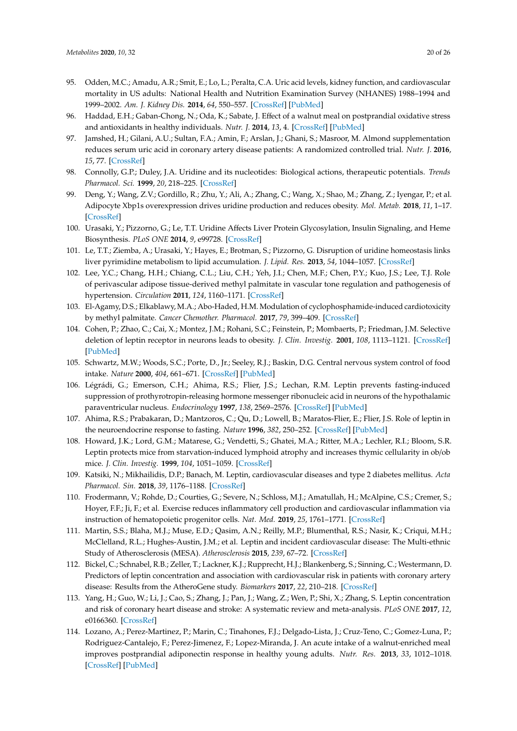- <span id="page-19-0"></span>95. Odden, M.C.; Amadu, A.R.; Smit, E.; Lo, L.; Peralta, C.A. Uric acid levels, kidney function, and cardiovascular mortality in US adults: National Health and Nutrition Examination Survey (NHANES) 1988–1994 and 1999–2002. *Am. J. Kidney Dis.* **2014**, *64*, 550–557. [\[CrossRef\]](http://dx.doi.org/10.1053/j.ajkd.2014.04.024) [\[PubMed\]](http://www.ncbi.nlm.nih.gov/pubmed/24906981)
- <span id="page-19-1"></span>96. Haddad, E.H.; Gaban-Chong, N.; Oda, K.; Sabate, J. Effect of a walnut meal on postprandial oxidative stress and antioxidants in healthy individuals. *Nutr. J.* **2014**, *13*, 4. [\[CrossRef\]](http://dx.doi.org/10.1186/1475-2891-13-4) [\[PubMed\]](http://www.ncbi.nlm.nih.gov/pubmed/24410903)
- <span id="page-19-2"></span>97. Jamshed, H.; Gilani, A.U.; Sultan, F.A.; Amin, F.; Arslan, J.; Ghani, S.; Masroor, M. Almond supplementation reduces serum uric acid in coronary artery disease patients: A randomized controlled trial. *Nutr. J.* **2016**, *15*, 77. [\[CrossRef\]](http://dx.doi.org/10.1186/s12937-016-0195-4)
- <span id="page-19-3"></span>98. Connolly, G.P.; Duley, J.A. Uridine and its nucleotides: Biological actions, therapeutic potentials. *Trends Pharmacol. Sci.* **1999**, *20*, 218–225. [\[CrossRef\]](http://dx.doi.org/10.1016/S0165-6147(99)01298-5)
- <span id="page-19-4"></span>99. Deng, Y.; Wang, Z.V.; Gordillo, R.; Zhu, Y.; Ali, A.; Zhang, C.; Wang, X.; Shao, M.; Zhang, Z.; Iyengar, P.; et al. Adipocyte Xbp1s overexpression drives uridine production and reduces obesity. *Mol. Metab.* **2018**, *11*, 1–17. [\[CrossRef\]](http://dx.doi.org/10.1016/j.molmet.2018.02.013)
- <span id="page-19-5"></span>100. Urasaki, Y.; Pizzorno, G.; Le, T.T. Uridine Affects Liver Protein Glycosylation, Insulin Signaling, and Heme Biosynthesis. *PLoS ONE* **2014**, *9*, e99728. [\[CrossRef\]](http://dx.doi.org/10.1371/journal.pone.0099728)
- <span id="page-19-6"></span>101. Le, T.T.; Ziemba, A.; Urasaki, Y.; Hayes, E.; Brotman, S.; Pizzorno, G. Disruption of uridine homeostasis links liver pyrimidine metabolism to lipid accumulation. *J. Lipid. Res.* **2013**, *54*, 1044–1057. [\[CrossRef\]](http://dx.doi.org/10.1194/jlr.M034249)
- <span id="page-19-7"></span>102. Lee, Y.C.; Chang, H.H.; Chiang, C.L.; Liu, C.H.; Yeh, J.I.; Chen, M.F.; Chen, P.Y.; Kuo, J.S.; Lee, T.J. Role of perivascular adipose tissue-derived methyl palmitate in vascular tone regulation and pathogenesis of hypertension. *Circulation* **2011**, *124*, 1160–1171. [\[CrossRef\]](http://dx.doi.org/10.1161/CIRCULATIONAHA.111.027375)
- <span id="page-19-8"></span>103. El-Agamy, D.S.; Elkablawy, M.A.; Abo-Haded, H.M. Modulation of cyclophosphamide-induced cardiotoxicity by methyl palmitate. *Cancer Chemother. Pharmacol.* **2017**, *79*, 399–409. [\[CrossRef\]](http://dx.doi.org/10.1007/s00280-016-3233-1)
- <span id="page-19-9"></span>104. Cohen, P.; Zhao, C.; Cai, X.; Montez, J.M.; Rohani, S.C.; Feinstein, P.; Mombaerts, P.; Friedman, J.M. Selective deletion of leptin receptor in neurons leads to obesity. *J. Clin. Investig.* **2001**, *108*, 1113–1121. [\[CrossRef\]](http://dx.doi.org/10.1172/JCI200113914) [\[PubMed\]](http://www.ncbi.nlm.nih.gov/pubmed/11602618)
- <span id="page-19-10"></span>105. Schwartz, M.W.; Woods, S.C.; Porte, D., Jr.; Seeley, R.J.; Baskin, D.G. Central nervous system control of food intake. *Nature* **2000**, *404*, 661–671. [\[CrossRef\]](http://dx.doi.org/10.1038/35007534) [\[PubMed\]](http://www.ncbi.nlm.nih.gov/pubmed/10766253)
- <span id="page-19-11"></span>106. Légrádi, G.; Emerson, C.H.; Ahima, R.S.; Flier, J.S.; Lechan, R.M. Leptin prevents fasting-induced suppression of prothyrotropin-releasing hormone messenger ribonucleic acid in neurons of the hypothalamic paraventricular nucleus. *Endocrinology* **1997**, *138*, 2569–2576. [\[CrossRef\]](http://dx.doi.org/10.1210/endo.138.6.5209) [\[PubMed\]](http://www.ncbi.nlm.nih.gov/pubmed/9165050)
- <span id="page-19-12"></span>107. Ahima, R.S.; Prabakaran, D.; Mantzoros, C.; Qu, D.; Lowell, B.; Maratos-Flier, E.; Flier, J.S. Role of leptin in the neuroendocrine response to fasting. *Nature* **1996**, *382*, 250–252. [\[CrossRef\]](http://dx.doi.org/10.1038/382250a0) [\[PubMed\]](http://www.ncbi.nlm.nih.gov/pubmed/8717038)
- <span id="page-19-13"></span>108. Howard, J.K.; Lord, G.M.; Matarese, G.; Vendetti, S.; Ghatei, M.A.; Ritter, M.A.; Lechler, R.I.; Bloom, S.R. Leptin protects mice from starvation-induced lymphoid atrophy and increases thymic cellularity in ob/ob mice. *J. Clin. Investig.* **1999**, *104*, 1051–1059. [\[CrossRef\]](http://dx.doi.org/10.1172/JCI6762)
- <span id="page-19-14"></span>109. Katsiki, N.; Mikhailidis, D.P.; Banach, M. Leptin, cardiovascular diseases and type 2 diabetes mellitus. *Acta Pharmacol. Sin.* **2018**, *39*, 1176–1188. [\[CrossRef\]](http://dx.doi.org/10.1038/aps.2018.40)
- <span id="page-19-15"></span>110. Frodermann, V.; Rohde, D.; Courties, G.; Severe, N.; Schloss, M.J.; Amatullah, H.; McAlpine, C.S.; Cremer, S.; Hoyer, F.F.; Ji, F.; et al. Exercise reduces inflammatory cell production and cardiovascular inflammation via instruction of hematopoietic progenitor cells. *Nat. Med.* **2019**, *25*, 1761–1771. [\[CrossRef\]](http://dx.doi.org/10.1038/s41591-019-0633-x)
- <span id="page-19-16"></span>111. Martin, S.S.; Blaha, M.J.; Muse, E.D.; Qasim, A.N.; Reilly, M.P.; Blumenthal, R.S.; Nasir, K.; Criqui, M.H.; McClelland, R.L.; Hughes-Austin, J.M.; et al. Leptin and incident cardiovascular disease: The Multi-ethnic Study of Atherosclerosis (MESA). *Atherosclerosis* **2015**, *239*, 67–72. [\[CrossRef\]](http://dx.doi.org/10.1016/j.atherosclerosis.2014.12.033)
- <span id="page-19-17"></span>112. Bickel, C.; Schnabel, R.B.; Zeller, T.; Lackner, K.J.; Rupprecht, H.J.; Blankenberg, S.; Sinning, C.; Westermann, D. Predictors of leptin concentration and association with cardiovascular risk in patients with coronary artery disease: Results from the AtheroGene study. *Biomarkers* **2017**, *22*, 210–218. [\[CrossRef\]](http://dx.doi.org/10.3109/1354750X.2015.1130745)
- <span id="page-19-18"></span>113. Yang, H.; Guo, W.; Li, J.; Cao, S.; Zhang, J.; Pan, J.; Wang, Z.; Wen, P.; Shi, X.; Zhang, S. Leptin concentration and risk of coronary heart disease and stroke: A systematic review and meta-analysis. *PLoS ONE* **2017**, *12*, e0166360. [\[CrossRef\]](http://dx.doi.org/10.1371/journal.pone.0166360)
- <span id="page-19-19"></span>114. Lozano, A.; Perez-Martinez, P.; Marin, C.; Tinahones, F.J.; Delgado-Lista, J.; Cruz-Teno, C.; Gomez-Luna, P.; Rodriguez-Cantalejo, F.; Perez-Jimenez, F.; Lopez-Miranda, J. An acute intake of a walnut-enriched meal improves postprandial adiponectin response in healthy young adults. *Nutr. Res.* **2013**, *33*, 1012–1018. [\[CrossRef\]](http://dx.doi.org/10.1016/j.nutres.2013.08.010) [\[PubMed\]](http://www.ncbi.nlm.nih.gov/pubmed/24267040)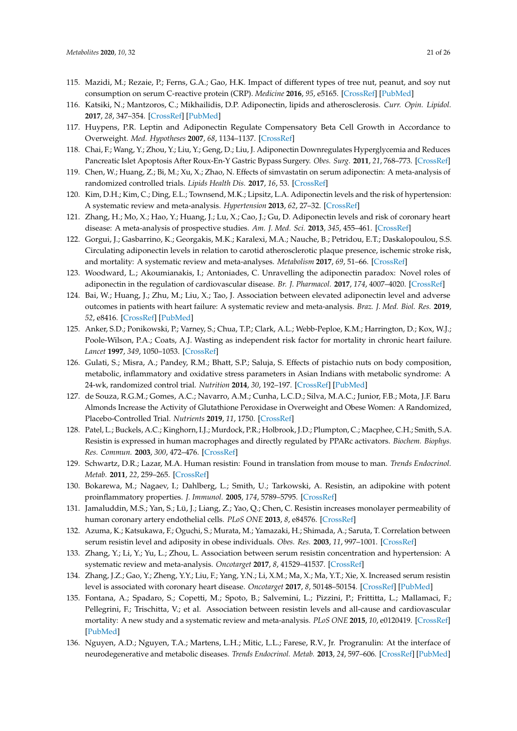- <span id="page-20-0"></span>115. Mazidi, M.; Rezaie, P.; Ferns, G.A.; Gao, H.K. Impact of different types of tree nut, peanut, and soy nut consumption on serum C-reactive protein (CRP). *Medicine* **2016**, *95*, e5165. [\[CrossRef\]](http://dx.doi.org/10.1097/MD.0000000000005165) [\[PubMed\]](http://www.ncbi.nlm.nih.gov/pubmed/27858850)
- <span id="page-20-1"></span>116. Katsiki, N.; Mantzoros, C.; Mikhailidis, D.P. Adiponectin, lipids and atherosclerosis. *Curr. Opin. Lipidol.* **2017**, *28*, 347–354. [\[CrossRef\]](http://dx.doi.org/10.1097/MOL.0000000000000431) [\[PubMed\]](http://www.ncbi.nlm.nih.gov/pubmed/28463859)
- <span id="page-20-2"></span>117. Huypens, P.R. Leptin and Adiponectin Regulate Compensatory Beta Cell Growth in Accordance to Overweight. *Med. Hypotheses* **2007**, *68*, 1134–1137. [\[CrossRef\]](http://dx.doi.org/10.1016/j.mehy.2006.09.046)
- <span id="page-20-22"></span><span id="page-20-3"></span>118. Chai, F.; Wang, Y.; Zhou, Y.; Liu, Y.; Geng, D.; Liu, J. Adiponectin Downregulates Hyperglycemia and Reduces Pancreatic Islet Apoptosis After Roux-En-Y Gastric Bypass Surgery. *Obes. Surg.* **2011**, *21*, 768–773. [\[CrossRef\]](http://dx.doi.org/10.1007/s11695-011-0357-6)
- <span id="page-20-23"></span><span id="page-20-4"></span>119. Chen, W.; Huang, Z.; Bi, M.; Xu, X.; Zhao, N. Effects of simvastatin on serum adiponectin: A meta-analysis of randomized controlled trials. *Lipids Health Dis.* **2017**, *16*, 53. [\[CrossRef\]](http://dx.doi.org/10.1186/s12944-017-0439-0)
- <span id="page-20-5"></span>120. Kim, D.H.; Kim, C.; Ding, E.L.; Townsend, M.K.; Lipsitz, L.A. Adiponectin levels and the risk of hypertension: A systematic review and meta-analysis. *Hypertension* **2013**, *62*, 27–32. [\[CrossRef\]](http://dx.doi.org/10.1161/HYPERTENSIONAHA.113.01453)
- <span id="page-20-6"></span>121. Zhang, H.; Mo, X.; Hao, Y.; Huang, J.; Lu, X.; Cao, J.; Gu, D. Adiponectin levels and risk of coronary heart disease: A meta-analysis of prospective studies. *Am. J. Med. Sci.* **2013**, *345*, 455–461. [\[CrossRef\]](http://dx.doi.org/10.1097/MAJ.0b013e318262dbef)
- <span id="page-20-7"></span>122. Gorgui, J.; Gasbarrino, K.; Georgakis, M.K.; Karalexi, M.A.; Nauche, B.; Petridou, E.T.; Daskalopoulou, S.S. Circulating adiponectin levels in relation to carotid atherosclerotic plaque presence, ischemic stroke risk, and mortality: A systematic review and meta-analyses. *Metabolism* **2017**, *69*, 51–66. [\[CrossRef\]](http://dx.doi.org/10.1016/j.metabol.2017.01.002)
- <span id="page-20-8"></span>123. Woodward, L.; Akoumianakis, I.; Antoniades, C. Unravelling the adiponectin paradox: Novel roles of adiponectin in the regulation of cardiovascular disease. *Br. J. Pharmacol.* **2017**, *174*, 4007–4020. [\[CrossRef\]](http://dx.doi.org/10.1111/bph.13619)
- <span id="page-20-9"></span>124. Bai, W.; Huang, J.; Zhu, M.; Liu, X.; Tao, J. Association between elevated adiponectin level and adverse outcomes in patients with heart failure: A systematic review and meta-analysis. *Braz. J. Med. Biol. Res.* **2019**, *52*, e8416. [\[CrossRef\]](http://dx.doi.org/10.1590/1414-431x20198416) [\[PubMed\]](http://www.ncbi.nlm.nih.gov/pubmed/31314851)
- <span id="page-20-10"></span>125. Anker, S.D.; Ponikowski, P.; Varney, S.; Chua, T.P.; Clark, A.L.; Webb-Peploe, K.M.; Harrington, D.; Kox, W.J.; Poole-Wilson, P.A.; Coats, A.J. Wasting as independent risk factor for mortality in chronic heart failure. *Lancet* **1997**, *349*, 1050–1053. [\[CrossRef\]](http://dx.doi.org/10.1016/S0140-6736(96)07015-8)
- <span id="page-20-11"></span>126. Gulati, S.; Misra, A.; Pandey, R.M.; Bhatt, S.P.; Saluja, S. Effects of pistachio nuts on body composition, metabolic, inflammatory and oxidative stress parameters in Asian Indians with metabolic syndrome: A 24-wk, randomized control trial. *Nutrition* **2014**, *30*, 192–197. [\[CrossRef\]](http://dx.doi.org/10.1016/j.nut.2013.08.005) [\[PubMed\]](http://www.ncbi.nlm.nih.gov/pubmed/24377454)
- <span id="page-20-12"></span>127. de Souza, R.G.M.; Gomes, A.C.; Navarro, A.M.; Cunha, L.C.D.; Silva, M.A.C.; Junior, F.B.; Mota, J.F. Baru Almonds Increase the Activity of Glutathione Peroxidase in Overweight and Obese Women: A Randomized, Placebo-Controlled Trial. *Nutrients* **2019**, *11*, 1750. [\[CrossRef\]](http://dx.doi.org/10.3390/nu11081750)
- <span id="page-20-13"></span>128. Patel, L.; Buckels, A.C.; Kinghorn, I.J.; Murdock, P.R.; Holbrook, J.D.; Plumpton, C.; Macphee, C.H.; Smith, S.A. Resistin is expressed in human macrophages and directly regulated by PPARc activators. *Biochem. Biophys. Res. Commun.* **2003**, *300*, 472–476. [\[CrossRef\]](http://dx.doi.org/10.1016/S0006-291X(02)02841-3)
- <span id="page-20-14"></span>129. Schwartz, D.R.; Lazar, M.A. Human resistin: Found in translation from mouse to man. *Trends Endocrinol. Metab.* **2011**, *22*, 259–265. [\[CrossRef\]](http://dx.doi.org/10.1016/j.tem.2011.03.005)
- <span id="page-20-15"></span>130. Bokarewa, M.; Nagaev, I.; Dahlberg, L.; Smith, U.; Tarkowski, A. Resistin, an adipokine with potent proinflammatory properties. *J. Immunol.* **2005**, *174*, 5789–5795. [\[CrossRef\]](http://dx.doi.org/10.4049/jimmunol.174.9.5789)
- <span id="page-20-16"></span>131. Jamaluddin, M.S.; Yan, S.; Lü, J.; Liang, Z.; Yao, Q.; Chen, C. Resistin increases monolayer permeability of human coronary artery endothelial cells. *PLoS ONE* **2013**, *8*, e84576. [\[CrossRef\]](http://dx.doi.org/10.1371/journal.pone.0084576)
- <span id="page-20-17"></span>132. Azuma, K.; Katsukawa, F.; Oguchi, S.; Murata, M.; Yamazaki, H.; Shimada, A.; Saruta, T. Correlation between serum resistin level and adiposity in obese individuals. *Obes. Res.* **2003**, *11*, 997–1001. [\[CrossRef\]](http://dx.doi.org/10.1038/oby.2003.137)
- <span id="page-20-18"></span>133. Zhang, Y.; Li, Y.; Yu, L.; Zhou, L. Association between serum resistin concentration and hypertension: A systematic review and meta-analysis. *Oncotarget* **2017**, *8*, 41529–41537. [\[CrossRef\]](http://dx.doi.org/10.18632/oncotarget.17561)
- <span id="page-20-19"></span>134. Zhang, J.Z.; Gao, Y.; Zheng, Y.Y.; Liu, F.; Yang, Y.N.; Li, X.M.; Ma, X.; Ma, Y.T.; Xie, X. Increased serum resistin level is associated with coronary heart disease. *Oncotarget* **2017**, *8*, 50148–50154. [\[CrossRef\]](http://dx.doi.org/10.18632/oncotarget.15707) [\[PubMed\]](http://www.ncbi.nlm.nih.gov/pubmed/28404934)
- <span id="page-20-20"></span>135. Fontana, A.; Spadaro, S.; Copetti, M.; Spoto, B.; Salvemini, L.; Pizzini, P.; Frittitta, L.; Mallamaci, F.; Pellegrini, F.; Trischitta, V.; et al. Association between resistin levels and all-cause and cardiovascular mortality: A new study and a systematic review and meta-analysis. *PLoS ONE* **2015**, *10*, e0120419. [\[CrossRef\]](http://dx.doi.org/10.1371/journal.pone.0120419) [\[PubMed\]](http://www.ncbi.nlm.nih.gov/pubmed/25793385)
- <span id="page-20-21"></span>136. Nguyen, A.D.; Nguyen, T.A.; Martens, L.H.; Mitic, L.L.; Farese, R.V., Jr. Progranulin: At the interface of neurodegenerative and metabolic diseases. *Trends Endocrinol. Metab.* **2013**, *24*, 597–606. [\[CrossRef\]](http://dx.doi.org/10.1016/j.tem.2013.08.003) [\[PubMed\]](http://www.ncbi.nlm.nih.gov/pubmed/24035620)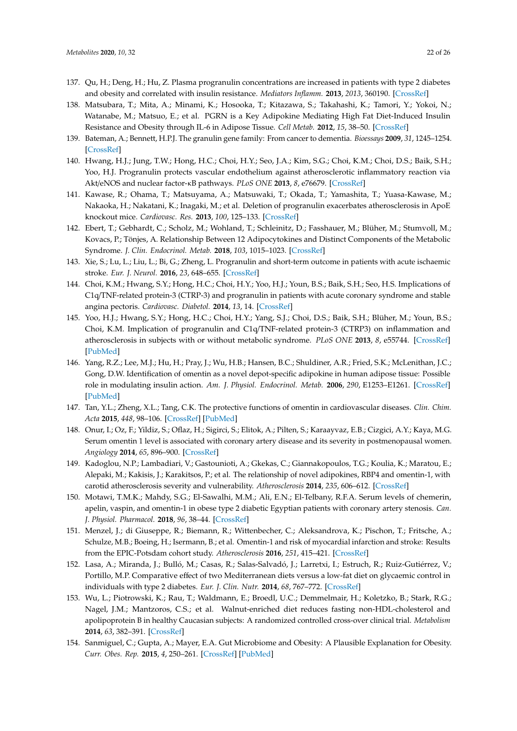- <span id="page-21-0"></span>137. Qu, H.; Deng, H.; Hu, Z. Plasma progranulin concentrations are increased in patients with type 2 diabetes and obesity and correlated with insulin resistance. *Mediators Inflamm.* **2013**, *2013*, 360190. [\[CrossRef\]](http://dx.doi.org/10.1155/2013/360190)
- <span id="page-21-1"></span>138. Matsubara, T.; Mita, A.; Minami, K.; Hosooka, T.; Kitazawa, S.; Takahashi, K.; Tamori, Y.; Yokoi, N.; Watanabe, M.; Matsuo, E.; et al. PGRN is a Key Adipokine Mediating High Fat Diet-Induced Insulin Resistance and Obesity through IL-6 in Adipose Tissue. *Cell Metab.* **2012**, *15*, 38–50. [\[CrossRef\]](http://dx.doi.org/10.1016/j.cmet.2011.12.002)
- <span id="page-21-2"></span>139. Bateman, A.; Bennett, H.P.J. The granulin gene family: From cancer to dementia. *Bioessays* **2009**, *31*, 1245–1254. [\[CrossRef\]](http://dx.doi.org/10.1002/bies.200900086)
- <span id="page-21-3"></span>140. Hwang, H.J.; Jung, T.W.; Hong, H.C.; Choi, H.Y.; Seo, J.A.; Kim, S.G.; Choi, K.M.; Choi, D.S.; Baik, S.H.; Yoo, H.J. Progranulin protects vascular endothelium against atherosclerotic inflammatory reaction via Akt/eNOS and nuclear factor-κB pathways. *PLoS ONE* **2013**, *8*, e76679. [\[CrossRef\]](http://dx.doi.org/10.1371/journal.pone.0076679)
- <span id="page-21-4"></span>141. Kawase, R.; Ohama, T.; Matsuyama, A.; Matsuwaki, T.; Okada, T.; Yamashita, T.; Yuasa-Kawase, M.; Nakaoka, H.; Nakatani, K.; Inagaki, M.; et al. Deletion of progranulin exacerbates atherosclerosis in ApoE knockout mice. *Cardiovasc. Res.* **2013**, *100*, 125–133. [\[CrossRef\]](http://dx.doi.org/10.1093/cvr/cvt178)
- <span id="page-21-5"></span>142. Ebert, T.; Gebhardt, C.; Scholz, M.; Wohland, T.; Schleinitz, D.; Fasshauer, M.; Blüher, M.; Stumvoll, M.; Kovacs, P.; Tönjes, A. Relationship Between 12 Adipocytokines and Distinct Components of the Metabolic Syndrome. *J. Clin. Endocrinol. Metab.* **2018**, *103*, 1015–1023. [\[CrossRef\]](http://dx.doi.org/10.1210/jc.2017-02085)
- <span id="page-21-6"></span>143. Xie, S.; Lu, L.; Liu, L.; Bi, G.; Zheng, L. Progranulin and short-term outcome in patients with acute ischaemic stroke. *Eur. J. Neurol.* **2016**, *23*, 648–655. [\[CrossRef\]](http://dx.doi.org/10.1111/ene.12920)
- <span id="page-21-7"></span>144. Choi, K.M.; Hwang, S.Y.; Hong, H.C.; Choi, H.Y.; Yoo, H.J.; Youn, B.S.; Baik, S.H.; Seo, H.S. Implications of C1q/TNF-related protein-3 (CTRP-3) and progranulin in patients with acute coronary syndrome and stable angina pectoris. *Cardiovasc. Diabetol.* **2014**, *13*, 14. [\[CrossRef\]](http://dx.doi.org/10.1186/1475-2840-13-14)
- <span id="page-21-8"></span>145. Yoo, H.J.; Hwang, S.Y.; Hong, H.C.; Choi, H.Y.; Yang, S.J.; Choi, D.S.; Baik, S.H.; Blüher, M.; Youn, B.S.; Choi, K.M. Implication of progranulin and C1q/TNF-related protein-3 (CTRP3) on inflammation and atherosclerosis in subjects with or without metabolic syndrome. *PLoS ONE* **2013**, *8*, e55744. [\[CrossRef\]](http://dx.doi.org/10.1371/journal.pone.0055744) [\[PubMed\]](http://www.ncbi.nlm.nih.gov/pubmed/23409033)
- <span id="page-21-16"></span><span id="page-21-15"></span><span id="page-21-9"></span>146. Yang, R.Z.; Lee, M.J.; Hu, H.; Pray, J.; Wu, H.B.; Hansen, B.C.; Shuldiner, A.R.; Fried, S.K.; McLenithan, J.C.; Gong, D.W. Identification of omentin as a novel depot-specific adipokine in human adipose tissue: Possible role in modulating insulin action. *Am. J. Physiol. Endocrinol. Metab.* **2006**, *290*, E1253–E1261. [\[CrossRef\]](http://dx.doi.org/10.1152/ajpendo.00572.2004) [\[PubMed\]](http://www.ncbi.nlm.nih.gov/pubmed/16531507)
- <span id="page-21-10"></span>147. Tan, Y.L.; Zheng, X.L.; Tang, C.K. The protective functions of omentin in cardiovascular diseases. *Clin. Chim. Acta* **2015**, *448*, 98–106. [\[CrossRef\]](http://dx.doi.org/10.1016/j.cca.2015.05.019) [\[PubMed\]](http://www.ncbi.nlm.nih.gov/pubmed/26079253)
- <span id="page-21-11"></span>148. Onur, I.; Oz, F.; Yildiz, S.; Oflaz, H.; Sigirci, S.; Elitok, A.; Pilten, S.; Karaayvaz, E.B.; Cizgici, A.Y.; Kaya, M.G. Serum omentin 1 level is associated with coronary artery disease and its severity in postmenopausal women. *Angiology* **2014**, *65*, 896–900. [\[CrossRef\]](http://dx.doi.org/10.1177/0003319713511322)
- <span id="page-21-12"></span>149. Kadoglou, N.P.; Lambadiari, V.; Gastounioti, A.; Gkekas, C.; Giannakopoulos, T.G.; Koulia, K.; Maratou, E.; Alepaki, M.; Kakisis, J.; Karakitsos, P.; et al. The relationship of novel adipokines, RBP4 and omentin-1, with carotid atherosclerosis severity and vulnerability. *Atherosclerosis* **2014**, *235*, 606–612. [\[CrossRef\]](http://dx.doi.org/10.1016/j.atherosclerosis.2014.05.957)
- <span id="page-21-13"></span>150. Motawi, T.M.K.; Mahdy, S.G.; El-Sawalhi, M.M.; Ali, E.N.; El-Telbany, R.F.A. Serum levels of chemerin, apelin, vaspin, and omentin-1 in obese type 2 diabetic Egyptian patients with coronary artery stenosis. *Can. J. Physiol. Pharmacol.* **2018**, *96*, 38–44. [\[CrossRef\]](http://dx.doi.org/10.1139/cjpp-2017-0272)
- <span id="page-21-14"></span>151. Menzel, J.; di Giuseppe, R.; Biemann, R.; Wittenbecher, C.; Aleksandrova, K.; Pischon, T.; Fritsche, A.; Schulze, M.B.; Boeing, H.; Isermann, B.; et al. Omentin-1 and risk of myocardial infarction and stroke: Results from the EPIC-Potsdam cohort study. *Atherosclerosis* **2016**, *251*, 415–421. [\[CrossRef\]](http://dx.doi.org/10.1016/j.atherosclerosis.2016.06.003)
- 152. Lasa, A.; Miranda, J.; Bulló, M.; Casas, R.; Salas-Salvadó, J.; Larretxi, I.; Estruch, R.; Ruiz-Gutiérrez, V.; Portillo, M.P. Comparative effect of two Mediterranean diets versus a low-fat diet on glycaemic control in individuals with type 2 diabetes. *Eur. J. Clin. Nutr.* **2014**, *68*, 767–772. [\[CrossRef\]](http://dx.doi.org/10.1038/ejcn.2014.1)
- 153. Wu, L.; Piotrowski, K.; Rau, T.; Waldmann, E.; Broedl, U.C.; Demmelmair, H.; Koletzko, B.; Stark, R.G.; Nagel, J.M.; Mantzoros, C.S.; et al. Walnut-enriched diet reduces fasting non-HDL-cholesterol and apolipoprotein B in healthy Caucasian subjects: A randomized controlled cross-over clinical trial. *Metabolism* **2014**, *63*, 382–391. [\[CrossRef\]](http://dx.doi.org/10.1016/j.metabol.2013.11.005)
- <span id="page-21-17"></span>154. Sanmiguel, C.; Gupta, A.; Mayer, E.A. Gut Microbiome and Obesity: A Plausible Explanation for Obesity. *Curr. Obes. Rep.* **2015**, *4*, 250–261. [\[CrossRef\]](http://dx.doi.org/10.1007/s13679-015-0152-0) [\[PubMed\]](http://www.ncbi.nlm.nih.gov/pubmed/26029487)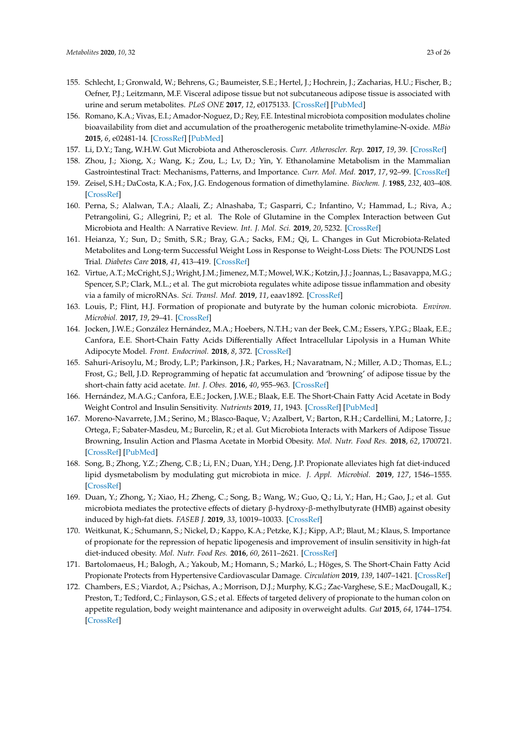- <span id="page-22-0"></span>155. Schlecht, I.; Gronwald, W.; Behrens, G.; Baumeister, S.E.; Hertel, J.; Hochrein, J.; Zacharias, H.U.; Fischer, B.; Oefner, P.J.; Leitzmann, M.F. Visceral adipose tissue but not subcutaneous adipose tissue is associated with urine and serum metabolites. *PLoS ONE* **2017**, *12*, e0175133. [\[CrossRef\]](http://dx.doi.org/10.1371/journal.pone.0175133) [\[PubMed\]](http://www.ncbi.nlm.nih.gov/pubmed/28403191)
- <span id="page-22-1"></span>156. Romano, K.A.; Vivas, E.I.; Amador-Noguez, D.; Rey, F.E. Intestinal microbiota composition modulates choline bioavailability from diet and accumulation of the proatherogenic metabolite trimethylamine-N-oxide. *MBio* **2015**, *6*, e02481-14. [\[CrossRef\]](http://dx.doi.org/10.1128/mBio.02481-14) [\[PubMed\]](http://www.ncbi.nlm.nih.gov/pubmed/25784704)
- <span id="page-22-2"></span>157. Li, D.Y.; Tang, W.H.W. Gut Microbiota and Atherosclerosis. *Curr. Atheroscler. Rep.* **2017**, *19*, 39. [\[CrossRef\]](http://dx.doi.org/10.1007/s11883-017-0675-9)
- <span id="page-22-3"></span>158. Zhou, J.; Xiong, X.; Wang, K.; Zou, L.; Lv, D.; Yin, Y. Ethanolamine Metabolism in the Mammalian Gastrointestinal Tract: Mechanisms, Patterns, and Importance. *Curr. Mol. Med.* **2017**, *17*, 92–99. [\[CrossRef\]](http://dx.doi.org/10.2174/1566524017666170331161715)
- <span id="page-22-4"></span>159. Zeisel, S.H.; DaCosta, K.A.; Fox, J.G. Endogenous formation of dimethylamine. *Biochem. J.* **1985**, *232*, 403–408. [\[CrossRef\]](http://dx.doi.org/10.1042/bj2320403)
- <span id="page-22-5"></span>160. Perna, S.; Alalwan, T.A.; Alaali, Z.; Alnashaba, T.; Gasparri, C.; Infantino, V.; Hammad, L.; Riva, A.; Petrangolini, G.; Allegrini, P.; et al. The Role of Glutamine in the Complex Interaction between Gut Microbiota and Health: A Narrative Review. *Int. J. Mol. Sci.* **2019**, *20*, 5232. [\[CrossRef\]](http://dx.doi.org/10.3390/ijms20205232)
- <span id="page-22-6"></span>161. Heianza, Y.; Sun, D.; Smith, S.R.; Bray, G.A.; Sacks, F.M.; Qi, L. Changes in Gut Microbiota-Related Metabolites and Long-term Successful Weight Loss in Response to Weight-Loss Diets: The POUNDS Lost Trial. *Diabetes Care* **2018**, *41*, 413–419. [\[CrossRef\]](http://dx.doi.org/10.2337/dc17-2108)
- <span id="page-22-7"></span>162. Virtue, A.T.; McCright, S.J.; Wright, J.M.; Jimenez, M.T.; Mowel, W.K.; Kotzin, J.J.; Joannas, L.; Basavappa, M.G.; Spencer, S.P.; Clark, M.L.; et al. The gut microbiota regulates white adipose tissue inflammation and obesity via a family of microRNAs. *Sci. Transl. Med.* **2019**, *11*, eaav1892. [\[CrossRef\]](http://dx.doi.org/10.1126/scitranslmed.aav1892)
- <span id="page-22-8"></span>163. Louis, P.; Flint, H.J. Formation of propionate and butyrate by the human colonic microbiota. *Environ. Microbiol.* **2017**, *19*, 29–41. [\[CrossRef\]](http://dx.doi.org/10.1111/1462-2920.13589)
- <span id="page-22-9"></span>164. Jocken, J.W.E.; González Hernández, M.A.; Hoebers, N.T.H.; van der Beek, C.M.; Essers, Y.P.G.; Blaak, E.E.; Canfora, E.E. Short-Chain Fatty Acids Differentially Affect Intracellular Lipolysis in a Human White Adipocyte Model. *Front. Endocrinol.* **2018**, *8*, 372. [\[CrossRef\]](http://dx.doi.org/10.3389/fendo.2017.00372)
- <span id="page-22-10"></span>165. Sahuri-Arisoylu, M.; Brody, L.P.; Parkinson, J.R.; Parkes, H.; Navaratnam, N.; Miller, A.D.; Thomas, E.L.; Frost, G.; Bell, J.D. Reprogramming of hepatic fat accumulation and 'browning' of adipose tissue by the short-chain fatty acid acetate. *Int. J. Obes.* **2016**, *40*, 955–963. [\[CrossRef\]](http://dx.doi.org/10.1038/ijo.2016.23)
- <span id="page-22-11"></span>166. Hernández, M.A.G.; Canfora, E.E.; Jocken, J.W.E.; Blaak, E.E. The Short-Chain Fatty Acid Acetate in Body Weight Control and Insulin Sensitivity. *Nutrients* **2019**, *11*, 1943. [\[CrossRef\]](http://dx.doi.org/10.3390/nu11081943) [\[PubMed\]](http://www.ncbi.nlm.nih.gov/pubmed/31426593)
- <span id="page-22-12"></span>167. Moreno-Navarrete, J.M.; Serino, M.; Blasco-Baque, V.; Azalbert, V.; Barton, R.H.; Cardellini, M.; Latorre, J.; Ortega, F.; Sabater-Masdeu, M.; Burcelin, R.; et al. Gut Microbiota Interacts with Markers of Adipose Tissue Browning, Insulin Action and Plasma Acetate in Morbid Obesity. *Mol. Nutr. Food Res.* **2018**, *62*, 1700721. [\[CrossRef\]](http://dx.doi.org/10.1002/mnfr.201700721) [\[PubMed\]](http://www.ncbi.nlm.nih.gov/pubmed/29105287)
- <span id="page-22-13"></span>168. Song, B.; Zhong, Y.Z.; Zheng, C.B.; Li, F.N.; Duan, Y.H.; Deng, J.P. Propionate alleviates high fat diet-induced lipid dysmetabolism by modulating gut microbiota in mice. *J. Appl. Microbiol.* **2019**, *127*, 1546–1555. [\[CrossRef\]](http://dx.doi.org/10.1111/jam.14389)
- <span id="page-22-14"></span>169. Duan, Y.; Zhong, Y.; Xiao, H.; Zheng, C.; Song, B.; Wang, W.; Guo, Q.; Li, Y.; Han, H.; Gao, J.; et al. Gut microbiota mediates the protective effects of dietary β-hydroxy-β-methylbutyrate (HMB) against obesity induced by high-fat diets. *FASEB J.* **2019**, *33*, 10019–10033. [\[CrossRef\]](http://dx.doi.org/10.1096/fj.201900665RR)
- <span id="page-22-15"></span>170. Weitkunat, K.; Schumann, S.; Nickel, D.; Kappo, K.A.; Petzke, K.J.; Kipp, A.P.; Blaut, M.; Klaus, S. Importance of propionate for the repression of hepatic lipogenesis and improvement of insulin sensitivity in high-fat diet-induced obesity. *Mol. Nutr. Food Res.* **2016**, *60*, 2611–2621. [\[CrossRef\]](http://dx.doi.org/10.1002/mnfr.201600305)
- <span id="page-22-16"></span>171. Bartolomaeus, H.; Balogh, A.; Yakoub, M.; Homann, S.; Markó, L.; Höges, S. The Short-Chain Fatty Acid Propionate Protects from Hypertensive Cardiovascular Damage. *Circulation* **2019**, *139*, 1407–1421. [\[CrossRef\]](http://dx.doi.org/10.1161/CIRCULATIONAHA.118.036652)
- <span id="page-22-17"></span>172. Chambers, E.S.; Viardot, A.; Psichas, A.; Morrison, D.J.; Murphy, K.G.; Zac-Varghese, S.E.; MacDougall, K.; Preston, T.; Tedford, C.; Finlayson, G.S.; et al. Effects of targeted delivery of propionate to the human colon on appetite regulation, body weight maintenance and adiposity in overweight adults. *Gut* **2015**, *64*, 1744–1754. [\[CrossRef\]](http://dx.doi.org/10.1136/gutjnl-2014-307913)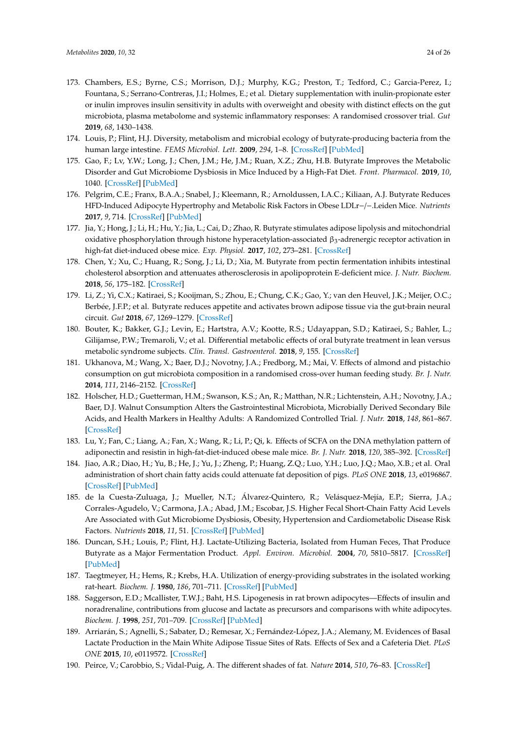- <span id="page-23-0"></span>173. Chambers, E.S.; Byrne, C.S.; Morrison, D.J.; Murphy, K.G.; Preston, T.; Tedford, C.; Garcia-Perez, I.; Fountana, S.; Serrano-Contreras, J.I.; Holmes, E.; et al. Dietary supplementation with inulin-propionate ester or inulin improves insulin sensitivity in adults with overweight and obesity with distinct effects on the gut microbiota, plasma metabolome and systemic inflammatory responses: A randomised crossover trial. *Gut* **2019**, *68*, 1430–1438.
- <span id="page-23-1"></span>174. Louis, P.; Flint, H.J. Diversity, metabolism and microbial ecology of butyrate-producing bacteria from the human large intestine. *FEMS Microbiol. Lett.* **2009**, *294*, 1–8. [\[CrossRef\]](http://dx.doi.org/10.1111/j.1574-6968.2009.01514.x) [\[PubMed\]](http://www.ncbi.nlm.nih.gov/pubmed/19222573)
- <span id="page-23-2"></span>175. Gao, F.; Lv, Y.W.; Long, J.; Chen, J.M.; He, J.M.; Ruan, X.Z.; Zhu, H.B. Butyrate Improves the Metabolic Disorder and Gut Microbiome Dysbiosis in Mice Induced by a High-Fat Diet. *Front. Pharmacol.* **2019**, *10*, 1040. [\[CrossRef\]](http://dx.doi.org/10.3389/fphar.2019.01040) [\[PubMed\]](http://www.ncbi.nlm.nih.gov/pubmed/31607907)
- <span id="page-23-3"></span>176. Pelgrim, C.E.; Franx, B.A.A.; Snabel, J.; Kleemann, R.; Arnoldussen, I.A.C.; Kiliaan, A.J. Butyrate Reduces HFD-Induced Adipocyte Hypertrophy and Metabolic Risk Factors in Obese LDLr−/−.Leiden Mice. *Nutrients* **2017**, *9*, 714. [\[CrossRef\]](http://dx.doi.org/10.3390/nu9070714) [\[PubMed\]](http://www.ncbi.nlm.nih.gov/pubmed/28686216)
- <span id="page-23-4"></span>177. Jia, Y.; Hong, J.; Li, H.; Hu, Y.; Jia, L.; Cai, D.; Zhao, R. Butyrate stimulates adipose lipolysis and mitochondrial oxidative phosphorylation through histone hyperacetylation-associated β<sub>3</sub>-adrenergic receptor activation in high-fat diet-induced obese mice. *Exp. Physiol.* **2017**, *102*, 273–281. [\[CrossRef\]](http://dx.doi.org/10.1113/EP086114)
- <span id="page-23-5"></span>178. Chen, Y.; Xu, C.; Huang, R.; Song, J.; Li, D.; Xia, M. Butyrate from pectin fermentation inhibits intestinal cholesterol absorption and attenuates atherosclerosis in apolipoprotein E-deficient mice. *J. Nutr. Biochem.* **2018**, *56*, 175–182. [\[CrossRef\]](http://dx.doi.org/10.1016/j.jnutbio.2018.02.011)
- <span id="page-23-6"></span>179. Li, Z.; Yi, C.X.; Katiraei, S.; Kooijman, S.; Zhou, E.; Chung, C.K.; Gao, Y.; van den Heuvel, J.K.; Meijer, O.C.; Berbée, J.F.P.; et al. Butyrate reduces appetite and activates brown adipose tissue via the gut-brain neural circuit. *Gut* **2018**, *67*, 1269–1279. [\[CrossRef\]](http://dx.doi.org/10.1136/gutjnl-2017-314050)
- <span id="page-23-7"></span>180. Bouter, K.; Bakker, G.J.; Levin, E.; Hartstra, A.V.; Kootte, R.S.; Udayappan, S.D.; Katiraei, S.; Bahler, L.; Gilijamse, P.W.; Tremaroli, V.; et al. Differential metabolic effects of oral butyrate treatment in lean versus metabolic syndrome subjects. *Clin. Transl. Gastroenterol.* **2018**, *9*, 155. [\[CrossRef\]](http://dx.doi.org/10.1038/s41424-018-0025-4)
- <span id="page-23-8"></span>181. Ukhanova, M.; Wang, X.; Baer, D.J.; Novotny, J.A.; Fredborg, M.; Mai, V. Effects of almond and pistachio consumption on gut microbiota composition in a randomised cross-over human feeding study. *Br. J. Nutr.* **2014**, *111*, 2146–2152. [\[CrossRef\]](http://dx.doi.org/10.1017/S0007114514000385)
- <span id="page-23-9"></span>182. Holscher, H.D.; Guetterman, H.M.; Swanson, K.S.; An, R.; Matthan, N.R.; Lichtenstein, A.H.; Novotny, J.A.; Baer, D.J. Walnut Consumption Alters the Gastrointestinal Microbiota, Microbially Derived Secondary Bile Acids, and Health Markers in Healthy Adults: A Randomized Controlled Trial. *J. Nutr.* **2018**, *148*, 861–867. [\[CrossRef\]](http://dx.doi.org/10.1093/jn/nxy004)
- <span id="page-23-10"></span>183. Lu, Y.; Fan, C.; Liang, A.; Fan, X.; Wang, R.; Li, P.; Qi, k. Effects of SCFA on the DNA methylation pattern of adiponectin and resistin in high-fat-diet-induced obese male mice. *Br. J. Nutr.* **2018**, *120*, 385–392. [\[CrossRef\]](http://dx.doi.org/10.1017/S0007114518001526)
- <span id="page-23-11"></span>184. Jiao, A.R.; Diao, H.; Yu, B.; He, J.; Yu, J.; Zheng, P.; Huang, Z.Q.; Luo, Y.H.; Luo, J.Q.; Mao, X.B.; et al. Oral administration of short chain fatty acids could attenuate fat deposition of pigs. *PLoS ONE* **2018**, *13*, e0196867. [\[CrossRef\]](http://dx.doi.org/10.1371/journal.pone.0196867) [\[PubMed\]](http://www.ncbi.nlm.nih.gov/pubmed/29723298)
- <span id="page-23-12"></span>185. de la Cuesta-Zuluaga, J.; Mueller, N.T.; Álvarez-Quintero, R.; Velásquez-Mejía, E.P.; Sierra, J.A.; Corrales-Agudelo, V.; Carmona, J.A.; Abad, J.M.; Escobar, J.S. Higher Fecal Short-Chain Fatty Acid Levels Are Associated with Gut Microbiome Dysbiosis, Obesity, Hypertension and Cardiometabolic Disease Risk Factors. *Nutrients* **2018**, *11*, 51. [\[CrossRef\]](http://dx.doi.org/10.3390/nu11010051) [\[PubMed\]](http://www.ncbi.nlm.nih.gov/pubmed/30591685)
- <span id="page-23-13"></span>186. Duncan, S.H.; Louis, P.; Flint, H.J. Lactate-Utilizing Bacteria, Isolated from Human Feces, That Produce Butyrate as a Major Fermentation Product. *Appl. Environ. Microbiol.* **2004**, *70*, 5810–5817. [\[CrossRef\]](http://dx.doi.org/10.1128/AEM.70.10.5810-5817.2004) [\[PubMed\]](http://www.ncbi.nlm.nih.gov/pubmed/15466518)
- <span id="page-23-14"></span>187. Taegtmeyer, H.; Hems, R.; Krebs, H.A. Utilization of energy-providing substrates in the isolated working rat-heart. *Biochem. J.* **1980**, *186*, 701–711. [\[CrossRef\]](http://dx.doi.org/10.1042/bj1860701) [\[PubMed\]](http://www.ncbi.nlm.nih.gov/pubmed/6994712)
- <span id="page-23-15"></span>188. Saggerson, E.D.; Mcallister, T.W.J.; Baht, H.S. Lipogenesis in rat brown adipocytes—Effects of insulin and noradrenaline, contributions from glucose and lactate as precursors and comparisons with white adipocytes. *Biochem. J.* **1998**, *251*, 701–709. [\[CrossRef\]](http://dx.doi.org/10.1042/bj2510701) [\[PubMed\]](http://www.ncbi.nlm.nih.gov/pubmed/3137922)
- <span id="page-23-16"></span>189. Arriarán, S.; Agnelli, S.; Sabater, D.; Remesar, X.; Fernández-López, J.A.; Alemany, M. Evidences of Basal Lactate Production in the Main White Adipose Tissue Sites of Rats. Effects of Sex and a Cafeteria Diet. *PLoS ONE* **2015**, *10*, e0119572. [\[CrossRef\]](http://dx.doi.org/10.1371/journal.pone.0119572)
- <span id="page-23-17"></span>190. Peirce, V.; Carobbio, S.; Vidal-Puig, A. The different shades of fat. *Nature* **2014**, *510*, 76–83. [\[CrossRef\]](http://dx.doi.org/10.1038/nature13477)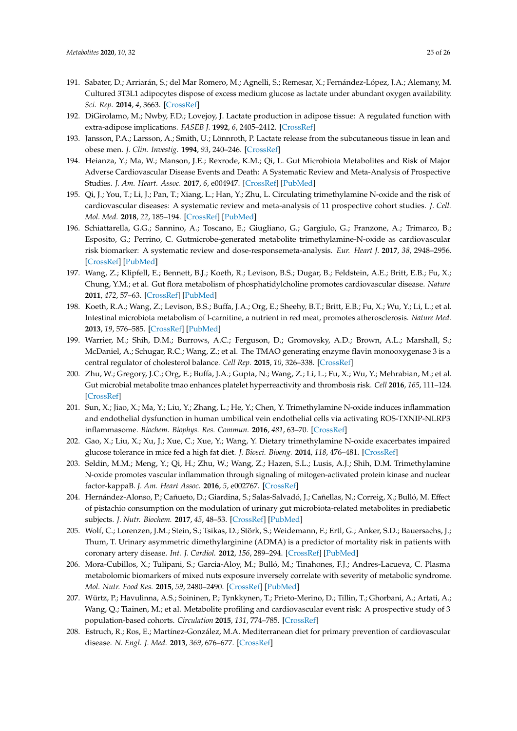- <span id="page-24-1"></span>191. Sabater, D.; Arriarán, S.; del Mar Romero, M.; Agnelli, S.; Remesar, X.; Fernández-López, J.A.; Alemany, M. Cultured 3T3L1 adipocytes dispose of excess medium glucose as lactate under abundant oxygen availability. *Sci. Rep.* **2014**, *4*, 3663. [\[CrossRef\]](http://dx.doi.org/10.1038/srep03663)
- <span id="page-24-2"></span>192. DiGirolamo, M.; Nwby, F.D.; Lovejoy, J. Lactate production in adipose tissue: A regulated function with extra-adipose implications. *FASEB J.* **1992**, *6*, 2405–2412. [\[CrossRef\]](http://dx.doi.org/10.1096/fasebj.6.7.1563593)
- <span id="page-24-0"></span>193. Jansson, P.A.; Larsson, A.; Smith, U.; Lönnroth, P. Lactate release from the subcutaneous tissue in lean and obese men. *J. Clin. Investig.* **1994**, *93*, 240–246. [\[CrossRef\]](http://dx.doi.org/10.1172/JCI116951)
- <span id="page-24-3"></span>194. Heianza, Y.; Ma, W.; Manson, J.E.; Rexrode, K.M.; Qi, L. Gut Microbiota Metabolites and Risk of Major Adverse Cardiovascular Disease Events and Death: A Systematic Review and Meta-Analysis of Prospective Studies. *J. Am. Heart. Assoc.* **2017**, *6*, e004947. [\[CrossRef\]](http://dx.doi.org/10.1161/JAHA.116.004947) [\[PubMed\]](http://www.ncbi.nlm.nih.gov/pubmed/28663251)
- 195. Qi, J.; You, T.; Li, J.; Pan, T.; Xiang, L.; Han, Y.; Zhu, L. Circulating trimethylamine N-oxide and the risk of cardiovascular diseases: A systematic review and meta-analysis of 11 prospective cohort studies. *J. Cell. Mol. Med.* **2018**, *22*, 185–194. [\[CrossRef\]](http://dx.doi.org/10.1111/jcmm.13307) [\[PubMed\]](http://www.ncbi.nlm.nih.gov/pubmed/28782886)
- <span id="page-24-4"></span>196. Schiattarella, G.G.; Sannino, A.; Toscano, E.; Giugliano, G.; Gargiulo, G.; Franzone, A.; Trimarco, B.; Esposito, G.; Perrino, C. Gutmicrobe-generated metabolite trimethylamine-N-oxide as cardiovascular risk biomarker: A systematic review and dose-responsemeta-analysis. *Eur. Heart J.* **2017**, *38*, 2948–2956. [\[CrossRef\]](http://dx.doi.org/10.1093/eurheartj/ehx342) [\[PubMed\]](http://www.ncbi.nlm.nih.gov/pubmed/29020409)
- <span id="page-24-5"></span>197. Wang, Z.; Klipfell, E.; Bennett, B.J.; Koeth, R.; Levison, B.S.; Dugar, B.; Feldstein, A.E.; Britt, E.B.; Fu, X.; Chung, Y.M.; et al. Gut flora metabolism of phosphatidylcholine promotes cardiovascular disease. *Nature* **2011**, *472*, 57–63. [\[CrossRef\]](http://dx.doi.org/10.1038/nature09922) [\[PubMed\]](http://www.ncbi.nlm.nih.gov/pubmed/21475195)
- <span id="page-24-6"></span>198. Koeth, R.A.; Wang, Z.; Levison, B.S.; Buffa, J.A.; Org, E.; Sheehy, B.T.; Britt, E.B.; Fu, X.; Wu, Y.; Li, L.; et al. Intestinal microbiota metabolism of l-carnitine, a nutrient in red meat, promotes atherosclerosis. *Nature Med.* **2013**, *19*, 576–585. [\[CrossRef\]](http://dx.doi.org/10.1038/nm.3145) [\[PubMed\]](http://www.ncbi.nlm.nih.gov/pubmed/23563705)
- <span id="page-24-7"></span>199. Warrier, M.; Shih, D.M.; Burrows, A.C.; Ferguson, D.; Gromovsky, A.D.; Brown, A.L.; Marshall, S.; McDaniel, A.; Schugar, R.C.; Wang, Z.; et al. The TMAO generating enzyme flavin monooxygenase 3 is a central regulator of cholesterol balance. *Cell Rep.* **2015**, *10*, 326–338. [\[CrossRef\]](http://dx.doi.org/10.1016/j.celrep.2014.12.036)
- <span id="page-24-8"></span>200. Zhu, W.; Gregory, J.C.; Org, E.; Buffa, J.A.; Gupta, N.; Wang, Z.; Li, L.; Fu, X.; Wu, Y.; Mehrabian, M.; et al. Gut microbial metabolite tmao enhances platelet hyperreactivity and thrombosis risk. *Cell* **2016**, *165*, 111–124. [\[CrossRef\]](http://dx.doi.org/10.1016/j.cell.2016.02.011)
- 201. Sun, X.; Jiao, X.; Ma, Y.; Liu, Y.; Zhang, L.; He, Y.; Chen, Y. Trimethylamine N-oxide induces inflammation and endothelial dysfunction in human umbilical vein endothelial cells via activating ROS-TXNIP-NLRP3 inflammasome. *Biochem. Biophys. Res. Commun.* **2016**, *481*, 63–70. [\[CrossRef\]](http://dx.doi.org/10.1016/j.bbrc.2016.11.017)
- 202. Gao, X.; Liu, X.; Xu, J.; Xue, C.; Xue, Y.; Wang, Y. Dietary trimethylamine N-oxide exacerbates impaired glucose tolerance in mice fed a high fat diet. *J. Biosci. Bioeng.* **2014**, *118*, 476–481. [\[CrossRef\]](http://dx.doi.org/10.1016/j.jbiosc.2014.03.001)
- <span id="page-24-9"></span>203. Seldin, M.M.; Meng, Y.; Qi, H.; Zhu, W.; Wang, Z.; Hazen, S.L.; Lusis, A.J.; Shih, D.M. Trimethylamine N-oxide promotes vascular inflammation through signaling of mitogen-activated protein kinase and nuclear factor-kappaB. *J. Am. Heart Assoc.* **2016**, *5*, e002767. [\[CrossRef\]](http://dx.doi.org/10.1161/JAHA.115.002767)
- <span id="page-24-10"></span>204. Hernández-Alonso, P.; Cañueto, D.; Giardina, S.; Salas-Salvadó, J.; Cañellas, N.; Correig, X.; Bulló, M. Effect of pistachio consumption on the modulation of urinary gut microbiota-related metabolites in prediabetic subjects. *J. Nutr. Biochem.* **2017**, *45*, 48–53. [\[CrossRef\]](http://dx.doi.org/10.1016/j.jnutbio.2017.04.002) [\[PubMed\]](http://www.ncbi.nlm.nih.gov/pubmed/28432876)
- <span id="page-24-11"></span>205. Wolf, C.; Lorenzen, J.M.; Stein, S.; Tsikas, D.; Störk, S.; Weidemann, F.; Ertl, G.; Anker, S.D.; Bauersachs, J.; Thum, T. Urinary asymmetric dimethylarginine (ADMA) is a predictor of mortality risk in patients with coronary artery disease. *Int. J. Cardiol.* **2012**, *156*, 289–294. [\[CrossRef\]](http://dx.doi.org/10.1016/j.ijcard.2010.11.003) [\[PubMed\]](http://www.ncbi.nlm.nih.gov/pubmed/21159392)
- <span id="page-24-12"></span>206. Mora-Cubillos, X.; Tulipani, S.; Garcia-Aloy, M.; Bulló, M.; Tinahones, F.J.; Andres-Lacueva, C. Plasma metabolomic biomarkers of mixed nuts exposure inversely correlate with severity of metabolic syndrome. *Mol. Nutr. Food Res.* **2015**, *59*, 2480–2490. [\[CrossRef\]](http://dx.doi.org/10.1002/mnfr.201500549) [\[PubMed\]](http://www.ncbi.nlm.nih.gov/pubmed/26412215)
- <span id="page-24-13"></span>207. Würtz, P.; Havulinna, A.S.; Soininen, P.; Tynkkynen, T.; Prieto-Merino, D.; Tillin, T.; Ghorbani, A.; Artati, A.; Wang, Q.; Tiainen, M.; et al. Metabolite profiling and cardiovascular event risk: A prospective study of 3 population-based cohorts. *Circulation* **2015**, *131*, 774–785. [\[CrossRef\]](http://dx.doi.org/10.1161/CIRCULATIONAHA.114.013116)
- <span id="page-24-14"></span>208. Estruch, R.; Ros, E.; Martínez-González, M.A. Mediterranean diet for primary prevention of cardiovascular disease. *N. Engl. J. Med.* **2013**, *369*, 676–677. [\[CrossRef\]](http://dx.doi.org/10.1056/NEJMoa1200303)